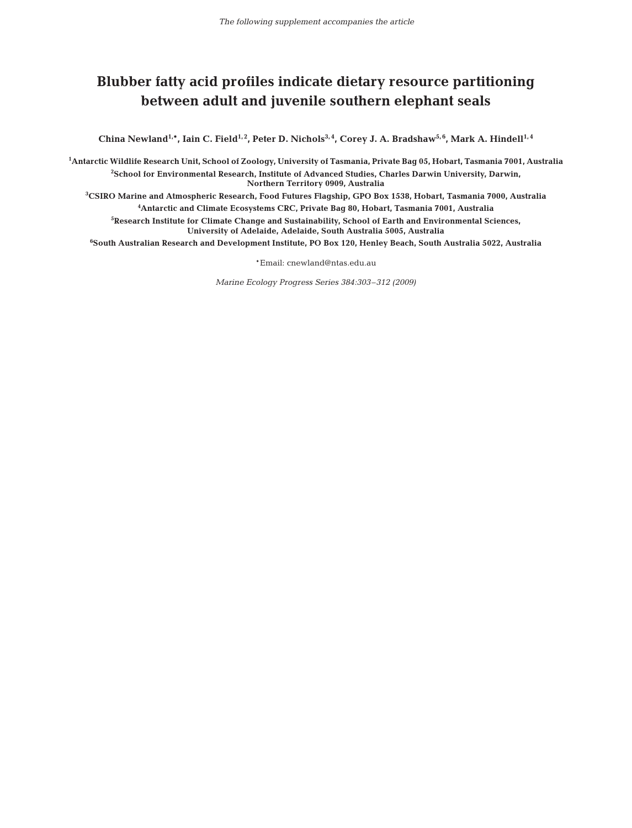## **Blubber fatty acid profiles indicate dietary resource partitioning between adult and juvenile southern elephant seals**

China Newland<sup>1,\*</sup>, Iain C. Field<sup>1,2</sup>, Peter D. Nichols<sup>3,4</sup>, Corey J. A. Bradshaw<sup>5,6</sup>, Mark A. Hindell<sup>1,4</sup>

**1 Antarctic Wildlife Research Unit, School of Zoology, University of Tasmania, Private Bag 05, Hobart, Tasmania 7001, Australia 2 School for Environmental Research, Institute of Advanced Studies, Charles Darwin University, Darwin, Northern Territory 0909, Australia**

**3 CSIRO Marine and Atmospheric Research, Food Futures Flagship, GPO Box 1538, Hobart, Tasmania 7000, Australia 4 Antarctic and Climate Ecosystems CRC, Private Bag 80, Hobart, Tasmania 7001, Australia**

**5 Research Institute for Climate Change and Sustainability, School of Earth and Environmental Sciences, University of Adelaide, Adelaide, South Australia 5005, Australia**

**6 South Australian Research and Development Institute, PO Box 120, Henley Beach, South Australia 5022, Australia**

\*Email: cnewland@ntas.edu.au

*Marine Ecology Progress Series 384:303–312 (2009)*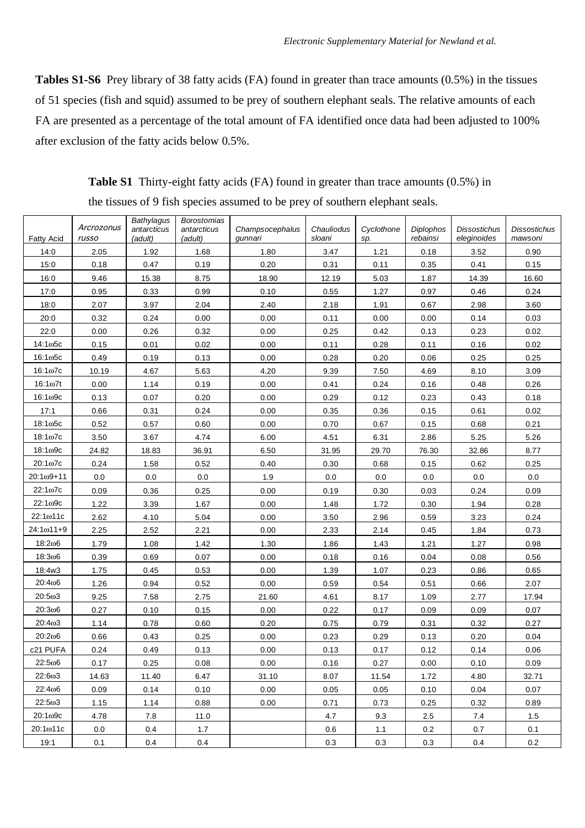**Tables S1-S6** Prey library of 38 fatty acids (FA) found in greater than trace amounts (0.5%) in the tissues of 51 species (fish and squid) assumed to be prey of southern elephant seals. The relative amounts of each FA are presented as a percentage of the total amount of FA identified once data had been adjusted to 100% after exclusion of the fatty acids below 0.5%.

|                      |                     | Bathylagus             | <b>Borostomias</b>     |                            |                      |                   |                              |                                    |                                |
|----------------------|---------------------|------------------------|------------------------|----------------------------|----------------------|-------------------|------------------------------|------------------------------------|--------------------------------|
| <b>Fatty Acid</b>    | Arcrozonus<br>russo | antarcticus<br>(adult) | antarcticus<br>(adult) | Champsocephalus<br>qunnari | Chauliodus<br>sloani | Cyclothone<br>sp. | <b>Diplophos</b><br>rebainsi | <b>Dissostichus</b><br>eleginoides | <b>Dissostichus</b><br>mawsoni |
| 14:0                 | 2.05                | 1.92                   | 1.68                   | 1.80                       | 3.47                 | 1.21              | 0.18                         | 3.52                               | 0.90                           |
| 15:0                 | 0.18                | 0.47                   | 0.19                   | 0.20                       | 0.31                 | 0.11              | 0.35                         | 0.41                               | 0.15                           |
| 16:0                 | 9.46                | 15.38                  | 8.75                   | 18.90                      | 12.19                | 5.03              | 1.87                         | 14.39                              | 16.60                          |
| 17:0                 | 0.95                | 0.33                   | 0.99                   | 0.10                       | 0.55                 | 1.27              | 0.97                         | 0.46                               | 0.24                           |
| 18:0                 | 2.07                | 3.97                   | 2.04                   | 2.40                       | 2.18                 | 1.91              | 0.67                         | 2.98                               | 3.60                           |
| 20:0                 | 0.32                | 0.24                   | 0.00                   | 0.00                       | 0.11                 | 0.00              | 0.00                         | 0.14                               | 0.03                           |
| 22:0                 | 0.00                | 0.26                   | 0.32                   | 0.00                       | 0.25                 | 0.42              | 0.13                         | 0.23                               | 0.02                           |
| $14:1\omega$ 5c      | 0.15                | 0.01                   | 0.02                   | 0.00                       | 0.11                 | 0.28              | 0.11                         | 0.16                               | 0.02                           |
| $16:1\omega$ 5c      | 0.49                | 0.19                   | 0.13                   | 0.00                       | 0.28                 | 0.20              | 0.06                         | 0.25                               | 0.25                           |
| $16:1\omega$ 7c      | 10.19               | 4.67                   | 5.63                   | 4.20                       | 9.39                 | 7.50              | 4.69                         | 8.10                               | 3.09                           |
| $16:1\omega$ 7t      | 0.00                | 1.14                   | 0.19                   | 0.00                       | 0.41                 | 0.24              | 0.16                         | 0.48                               | 0.26                           |
| $16:1\omega$ 9c      | 0.13                | 0.07                   | 0.20                   | 0.00                       | 0.29                 | 0.12              | 0.23                         | 0.43                               | 0.18                           |
| 17:1                 | 0.66                | 0.31                   | 0.24                   | 0.00                       | 0.35                 | 0.36              | 0.15                         | 0.61                               | 0.02                           |
| $18:1\omega$ 5c      | 0.52                | 0.57                   | 0.60                   | 0.00                       | 0.70                 | 0.67              | 0.15                         | 0.68                               | 0.21                           |
| $18:1\omega$ 7c      | 3.50                | 3.67                   | 4.74                   | 6.00                       | 4.51                 | 6.31              | 2.86                         | 5.25                               | 5.26                           |
| 18:1 <sub>ω</sub> 9c | 24.82               | 18.83                  | 36.91                  | 6.50                       | 31.95                | 29.70             | 76.30                        | 32.86                              | 8.77                           |
| 20:1ω7c              | 0.24                | 1.58                   | 0.52                   | 0.40                       | 0.30                 | 0.68              | 0.15                         | 0.62                               | 0.25                           |
| $20:1\omega$ 9+11    | 0.0                 | 0.0                    | 0.0                    | 1.9                        | 0.0                  | 0.0               | 0.0                          | 0.0                                | 0.0                            |
| 22:1 <sub>0</sub> 7c | 0.09                | 0.36                   | 0.25                   | 0.00                       | 0.19                 | 0.30              | 0.03                         | 0.24                               | 0.09                           |
| 22:1ω9c              | 1.22                | 3.39                   | 1.67                   | 0.00                       | 1.48                 | 1.72              | 0.30                         | 1.94                               | 0.28                           |
| 22:1ω11c             | 2.62                | 4.10                   | 5.04                   | 0.00                       | 3.50                 | 2.96              | 0.59                         | 3.23                               | 0.24                           |
| 24:1ω11+9            | 2.25                | 2.52                   | 2.21                   | 0.00                       | 2.33                 | 2.14              | 0.45                         | 1.84                               | 0.73                           |
| 18:206               | 1.79                | 1.08                   | 1.42                   | 1.30                       | 1.86                 | 1.43              | 1.21                         | 1.27                               | 0.98                           |
| 18:306               | 0.39                | 0.69                   | 0.07                   | 0.00                       | 0.18                 | 0.16              | 0.04                         | 0.08                               | 0.56                           |
| 18:4w3               | 1.75                | 0.45                   | 0.53                   | 0.00                       | 1.39                 | 1.07              | 0.23                         | 0.86                               | 0.65                           |
| 20:406               | 1.26                | 0.94                   | 0.52                   | 0.00                       | 0.59                 | 0.54              | 0.51                         | 0.66                               | 2.07                           |
| 20:503               | 9.25                | 7.58                   | 2.75                   | 21.60                      | 4.61                 | 8.17              | 1.09                         | 2.77                               | 17.94                          |
| 20:306               | 0.27                | 0.10                   | 0.15                   | 0.00                       | 0.22                 | 0.17              | 0.09                         | 0.09                               | 0.07                           |
| 20:403               | 1.14                | 0.78                   | 0.60                   | 0.20                       | 0.75                 | 0.79              | 0.31                         | 0.32                               | 0.27                           |
| 20:206               | 0.66                | 0.43                   | 0.25                   | 0.00                       | 0.23                 | 0.29              | 0.13                         | 0.20                               | 0.04                           |
| c21 PUFA             | 0.24                | 0.49                   | 0.13                   | 0.00                       | 0.13                 | 0.17              | 0.12                         | 0.14                               | 0.06                           |
| $22:5\omega$ 6       | 0.17                | 0.25                   | 0.08                   | 0.00                       | 0.16                 | 0.27              | 0.00                         | 0.10                               | 0.09                           |
| 22:603               | 14.63               | 11.40                  | 6.47                   | 31.10                      | 8.07                 | 11.54             | 1.72                         | 4.80                               | 32.71                          |
| 22:406               | 0.09                | 0.14                   | 0.10                   | 0.00                       | 0.05                 | 0.05              | 0.10                         | 0.04                               | 0.07                           |
| 22:503               | 1.15                | 1.14                   | 0.88                   | 0.00                       | 0.71                 | 0.73              | 0.25                         | 0.32                               | 0.89                           |
| $20:1\omega$ 9c      | 4.78                | 7.8                    | 11.0                   |                            | 4.7                  | 9.3               | 2.5                          | 7.4                                | 1.5                            |
| 20:1ω11c             | 0.0                 | 0.4                    | 1.7                    |                            | 0.6                  | 1.1               | 0.2                          | 0.7                                | 0.1                            |
| 19:1                 | 0.1                 | 0.4                    | 0.4                    |                            | 0.3                  | 0.3               | 0.3                          | 0.4                                | 0.2                            |

**Table S1** Thirty-eight fatty acids (FA) found in greater than trace amounts (0.5%) in the tissues of 9 fish species assumed to be prey of southern elephant seals.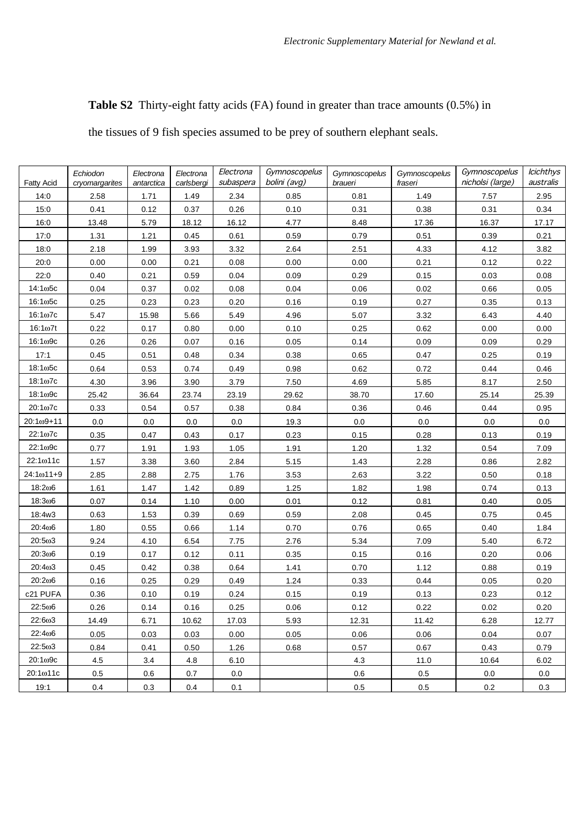## **Table S2** Thirty-eight fatty acids (FA) found in greater than trace amounts (0.5%) in

the tissues of 9 fish species assumed to be prey of southern elephant seals.

| <b>Fatty Acid</b>  | Echiodon<br>cryomargarites | Electrona<br>antarctica | Electrona<br>carlsbergi | Electrona<br>subaspera | Gymnoscopelus<br>bolini (avg) | Gymnoscopelus<br>Gymnoscopelus<br>Gymnoscopelus<br>nicholsi (large)<br>braueri<br>fraseri |       | <b>Icichthys</b><br>australis |       |
|--------------------|----------------------------|-------------------------|-------------------------|------------------------|-------------------------------|-------------------------------------------------------------------------------------------|-------|-------------------------------|-------|
| 14:0               | 2.58                       | 1.71                    | 1.49                    | 2.34                   | 0.85                          | 0.81                                                                                      | 1.49  | 7.57                          | 2.95  |
| 15:0               | 0.41                       | 0.12                    | 0.37                    | 0.26                   | 0.10                          | 0.31                                                                                      | 0.38  | 0.31                          | 0.34  |
| 16:0               | 13.48                      | 5.79                    | 18.12                   | 16.12                  | 4.77                          | 8.48                                                                                      | 17.36 | 16.37                         | 17.17 |
| 17:0               | 1.31                       | 1.21                    | 0.45                    | 0.61                   | 0.59                          | 0.79                                                                                      | 0.51  | 0.39                          | 0.21  |
| 18:0               | 2.18                       | 1.99                    | 3.93                    | 3.32                   | 2.64                          | 2.51                                                                                      | 4.33  | 4.12                          | 3.82  |
| 20:0               | 0.00                       | 0.00                    | 0.21                    | 0.08                   | 0.00                          | 0.00                                                                                      | 0.21  | 0.12                          | 0.22  |
| 22:0               | 0.40                       | 0.21                    | 0.59                    | 0.04                   | 0.09                          | 0.29                                                                                      | 0.15  | 0.03                          | 0.08  |
| 14:1ω5с            | 0.04                       | 0.37                    | 0.02                    | 0.08                   | 0.04                          | 0.06                                                                                      | 0.02  | 0.66                          | 0.05  |
| $16:1\omega$ 5c    | 0.25                       | 0.23                    | 0.23                    | 0.20                   | 0.16                          | 0.19                                                                                      | 0.27  | 0.35                          | 0.13  |
| $16:1\omega$ 7c    | 5.47                       | 15.98                   | 5.66                    | 5.49                   | 4.96                          | 5.07                                                                                      | 3.32  | 6.43                          | 4.40  |
| $16:1\omega$ 7t    | 0.22                       | 0.17                    | 0.80                    | 0.00                   | 0.10                          | 0.25                                                                                      | 0.62  | 0.00                          | 0.00  |
| $16:1\omega$ 9c    | 0.26                       | 0.26                    | 0.07                    | 0.16                   | 0.05                          | 0.14                                                                                      | 0.09  | 0.09                          | 0.29  |
| 17:1               | 0.45                       | 0.51                    | 0.48                    | 0.34                   | 0.38                          | 0.65                                                                                      | 0.47  | 0.25                          | 0.19  |
| $18:1\omega$ 5c    | 0.64                       | 0.53                    | 0.74                    | 0.49                   | 0.98                          | 0.62                                                                                      | 0.72  | 0.44                          | 0.46  |
| $18:1\omega$ 7c    | 4.30                       | 3.96                    | 3.90                    | 3.79                   | 7.50                          | 4.69                                                                                      | 5.85  | 8.17                          | 2.50  |
| $18:1\omega$ 9c    | 25.42                      | 36.64                   | 23.74                   | 23.19                  | 29.62                         | 38.70                                                                                     | 17.60 | 25.14                         | 25.39 |
| $20:1\omega$ 7c    | 0.33                       | 0.54                    | 0.57                    | 0.38                   | 0.84                          | 0.36                                                                                      | 0.46  | 0.44                          | 0.95  |
| $20:1\omega9 + 11$ | 0.0                        | 0.0                     | 0.0                     | 0.0                    | 19.3                          | 0.0                                                                                       | 0.0   | 0.0                           | 0.0   |
| 22:1ω7c            | 0.35                       | 0.47                    | 0.43                    | 0.17                   | 0.23                          | 0.15                                                                                      | 0.28  | 0.13                          | 0.19  |
| 22:1ω9c            | 0.77                       | 1.91                    | 1.93                    | 1.05                   | 1.91                          | 1.20                                                                                      | 1.32  | 0.54                          | 7.09  |
| 22:1ω11c           | 1.57                       | 3.38                    | 3.60                    | 2.84                   | 5.15                          | 1.43                                                                                      | 2.28  | 0.86                          | 2.82  |
| $24:1\omega11+9$   | 2.85                       | 2.88                    | 2.75                    | 1.76                   | 3.53                          | 2.63                                                                                      | 3.22  | 0.50                          | 0.18  |
| 18:206             | 1.61                       | 1.47                    | 1.42                    | 0.89                   | 1.25                          | 1.82                                                                                      | 1.98  | 0.74                          | 0.13  |
| 18:306             | 0.07                       | 0.14                    | 1.10                    | 0.00                   | 0.01                          | 0.12                                                                                      | 0.81  | 0.40                          | 0.05  |
| 18:4w3             | 0.63                       | 1.53                    | 0.39                    | 0.69                   | 0.59                          | 2.08                                                                                      | 0.45  | 0.75                          | 0.45  |
| 20:406             | 1.80                       | 0.55                    | 0.66                    | 1.14                   | 0.70                          | 0.76                                                                                      | 0.65  | 0.40                          | 1.84  |
| 20:5ω3             | 9.24                       | 4.10                    | 6.54                    | 7.75                   | 2.76                          | 5.34                                                                                      | 7.09  | 5.40                          | 6.72  |
| 20:306             | 0.19                       | 0.17                    | 0.12                    | 0.11                   | 0.35                          | 0.15                                                                                      | 0.16  | 0.20                          | 0.06  |
| 20:4ω3             | 0.45                       | 0.42                    | 0.38                    | 0.64                   | 1.41                          | 0.70                                                                                      | 1.12  | 0.88                          | 0.19  |
| 20:206             | 0.16                       | 0.25                    | 0.29                    | 0.49                   | 1.24                          | 0.33                                                                                      | 0.44  | 0.05                          | 0.20  |
| c21 PUFA           | 0.36                       | 0.10                    | 0.19                    | 0.24                   | 0.15                          | 0.19                                                                                      | 0.13  | 0.23                          | 0.12  |
| 22:5ω6             | 0.26                       | 0.14                    | 0.16                    | 0.25                   | 0.06                          | 0.12                                                                                      | 0.22  | 0.02                          | 0.20  |
| 22:603             | 14.49                      | 6.71                    | 10.62                   | 17.03                  | 5.93                          | 12.31                                                                                     | 11.42 | 6.28                          | 12.77 |
| 22:406             | 0.05                       | 0.03                    | 0.03                    | 0.00                   | 0.05                          | 0.06                                                                                      | 0.06  | 0.04                          | 0.07  |
| 22:503             | 0.84                       | 0.41                    | 0.50                    | 1.26                   | 0.68                          | 0.57                                                                                      | 0.67  | 0.43                          | 0.79  |
| $20:1\omega$ 9c    | 4.5                        | 3.4                     | 4.8                     | 6.10                   |                               | 4.3                                                                                       | 11.0  | 10.64                         | 6.02  |
| 20:1ω11c           | 0.5                        | 0.6                     | 0.7                     | 0.0                    |                               | 0.6                                                                                       | 0.5   | 0.0                           | 0.0   |
| 19:1               | 0.4                        | 0.3                     | 0.4                     | 0.1                    |                               | 0.5                                                                                       | 0.5   | 0.2                           | 0.3   |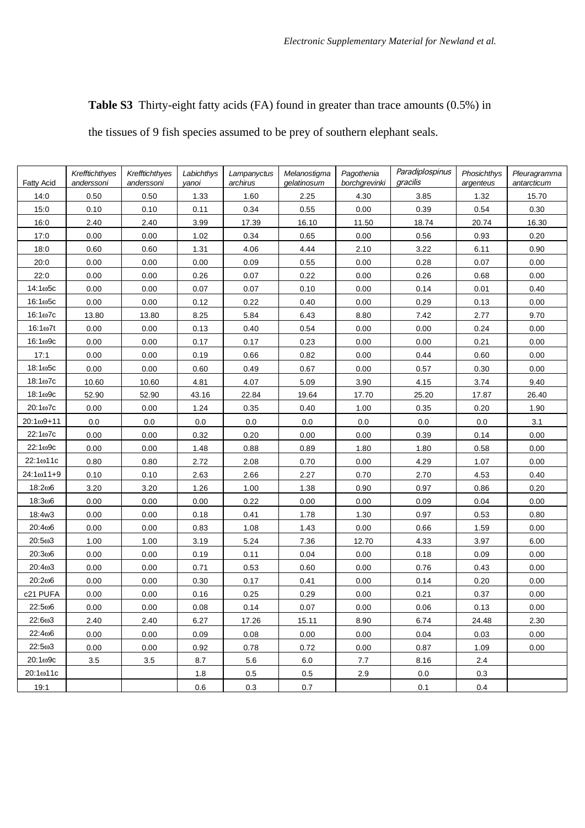## **Table S3** Thirty-eight fatty acids (FA) found in greater than trace amounts (0.5%) in

the tissues of 9 fish species assumed to be prey of southern elephant seals.

| <b>Fatty Acid</b>   | Krefftichthyes<br>anderssoni | Krefftichthyes<br>anderssoni | Labichthys<br>yanoi | Lampanyctus<br>archirus | Melanostigma<br>gelatinosum | Pagothenia<br>borchgrevinki | Paradiplospinus<br>gracilis | Phosichthys<br>argenteus | Pleuragramma<br>antarcticum |
|---------------------|------------------------------|------------------------------|---------------------|-------------------------|-----------------------------|-----------------------------|-----------------------------|--------------------------|-----------------------------|
| 14:0                | 0.50                         | 0.50                         | 1.33                | 1.60                    | 2.25                        | 4.30                        | 3.85                        | 1.32                     | 15.70                       |
| 15:0                | 0.10                         | 0.10                         | 0.11                | 0.34                    | 0.55                        | 0.00                        | 0.39                        | 0.54                     | 0.30                        |
| 16:0                | 2.40                         | 2.40                         | 3.99                | 17.39                   | 16.10                       | 11.50                       | 18.74                       | 20.74                    | 16.30                       |
| 17:0                | 0.00                         | 0.00                         | 1.02                | 0.34                    | 0.65                        | 0.00                        | 0.56                        | 0.93                     | 0.20                        |
| 18:0                | 0.60                         | 0.60                         | 1.31                | 4.06                    | 4.44                        | 2.10                        | 3.22                        | 6.11                     | 0.90                        |
| 20:0                | 0.00                         | 0.00                         | 0.00                | 0.09                    | 0.55                        | 0.00                        | 0.28                        | 0.07                     | 0.00                        |
| 22:0                | 0.00                         | 0.00                         | 0.26                | 0.07                    | 0.22                        | 0.00                        | 0.26                        | 0.68                     | 0.00                        |
| 14:1ω5с             | 0.00                         | 0.00                         | 0.07                | 0.07                    | 0.10                        | 0.00                        | 0.14                        | 0.01                     | 0.40                        |
| $16:1\omega$ 5c     | 0.00                         | 0.00                         | 0.12                | 0.22                    | 0.40                        | 0.00                        | 0.29                        | 0.13                     | 0.00                        |
| $16:1\omega$ 7c     | 13.80                        | 13.80                        | 8.25                | 5.84                    | 6.43                        | 8.80                        | 7.42                        | 2.77                     | 9.70                        |
| $16:1\omega$ 7t     | 0.00                         | 0.00                         | 0.13                | 0.40                    | 0.54                        | 0.00                        | 0.00                        | 0.24                     | 0.00                        |
| $16:1\omega$ 9c     | 0.00                         | 0.00                         | 0.17                | 0.17                    | 0.23                        | 0.00                        | 0.00                        | 0.21                     | 0.00                        |
| 17:1                | 0.00                         | 0.00                         | 0.19                | 0.66                    | 0.82                        | 0.00                        | 0.44                        | 0.60                     | 0.00                        |
| $18:1\omega$ 5c     | 0.00                         | 0.00                         | 0.60                | 0.49                    | 0.67                        | 0.00                        | 0.57                        | 0.30                     | 0.00                        |
| $18:1\omega$ 7c     | 10.60                        | 10.60                        | 4.81                | 4.07                    | 5.09                        | 3.90                        | 4.15                        | 3.74                     | 9.40                        |
| 18:1 <sub>09c</sub> | 52.90                        | 52.90                        | 43.16               | 22.84                   | 19.64                       | 17.70                       | 25.20                       | 17.87                    | 26.40                       |
| 20:1ω7c             | 0.00                         | 0.00                         | 1.24                | 0.35                    | 0.40                        | 1.00                        | 0.35                        | 0.20                     | 1.90                        |
| $20:1\omega9 + 11$  | 0.0                          | 0.0                          | 0.0                 | 0.0                     | 0.0                         | 0.0                         | 0.0                         | 0.0                      | 3.1                         |
| 22:1ω7c             | 0.00                         | 0.00                         | 0.32                | 0.20                    | 0.00                        | 0.00                        | 0.39                        | 0.14                     | 0.00                        |
| 22:1ω9c             | 0.00                         | 0.00                         | 1.48                | 0.88                    | 0.89                        | 1.80                        | 1.80                        | 0.58                     | 0.00                        |
| 22:1ω11c            | 0.80                         | 0.80                         | 2.72                | 2.08                    | 0.70                        | 0.00                        | 4.29                        | 1.07                     | 0.00                        |
| $24:1\omega$ 11+9   | 0.10                         | 0.10                         | 2.63                | 2.66                    | 2.27                        | 0.70                        | 2.70                        | 4.53                     | 0.40                        |
| 18:206              | 3.20                         | 3.20                         | 1.26                | 1.00                    | 1.38                        | 0.90                        | 0.97                        | 0.86                     | 0.20                        |
| 18:306              | 0.00                         | 0.00                         | 0.00                | 0.22                    | 0.00                        | 0.00                        | 0.09                        | 0.04                     | 0.00                        |
| 18:4w3              | 0.00                         | 0.00                         | 0.18                | 0.41                    | 1.78                        | 1.30                        | 0.97                        | 0.53                     | 0.80                        |
| 20:406              | 0.00                         | 0.00                         | 0.83                | 1.08                    | 1.43                        | 0.00                        | 0.66                        | 1.59                     | 0.00                        |
| 20:503              | 1.00                         | 1.00                         | 3.19                | 5.24                    | 7.36                        | 12.70                       | 4.33                        | 3.97                     | 6.00                        |
| 20:306              | 0.00                         | 0.00                         | 0.19                | 0.11                    | 0.04                        | 0.00                        | 0.18                        | 0.09                     | 0.00                        |
| 20:403              | 0.00                         | 0.00                         | 0.71                | 0.53                    | 0.60                        | 0.00                        | 0.76                        | 0.43                     | 0.00                        |
| 20:206              | 0.00                         | 0.00                         | 0.30                | 0.17                    | 0.41                        | 0.00                        | 0.14                        | 0.20                     | 0.00                        |
| c21 PUFA            | 0.00                         | 0.00                         | 0.16                | 0.25                    | 0.29                        | 0.00                        | 0.21                        | 0.37                     | 0.00                        |
| 22:5ω6              | 0.00                         | 0.00                         | 0.08                | 0.14                    | 0.07                        | 0.00                        | 0.06                        | 0.13                     | 0.00                        |
| $22:6\omega3$       | 2.40                         | 2.40                         | 6.27                | 17.26                   | 15.11                       | 8.90                        | 6.74                        | 24.48                    | 2.30                        |
| 22:406              | 0.00                         | 0.00                         | 0.09                | 0.08                    | 0.00                        | 0.00                        | 0.04                        | 0.03                     | 0.00                        |
| 22:5ω3              | 0.00                         | 0.00                         | 0.92                | 0.78                    | 0.72                        | 0.00                        | 0.87                        | 1.09                     | 0.00                        |
| 20:109c             | 3.5                          | 3.5                          | 8.7                 | 5.6                     | 6.0                         | 7.7                         | 8.16                        | 2.4                      |                             |
| 20:1ω11c            |                              |                              | 1.8                 | 0.5                     | 0.5                         | 2.9                         | 0.0                         | 0.3                      |                             |
| 19:1                |                              |                              | 0.6                 | 0.3                     | 0.7                         |                             | 0.1                         | 0.4                      |                             |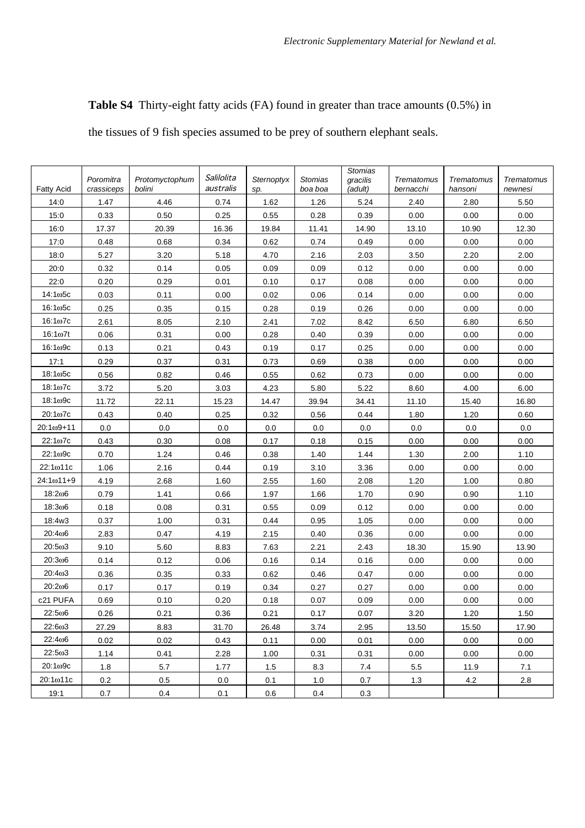**Table S4** Thirty-eight fatty acids (FA) found in greater than trace amounts (0.5%) in

the tissues of 9 fish species assumed to be prey of southern elephant seals.

| <b>Fatty Acid</b>           | Poromitra<br>crassiceps | Protomyctophum<br>bolini | Salilolita<br>australis | Sternoptyx<br>sp. | <b>Stomias</b><br>boa boa | <b>Stomias</b><br>gracilis<br>(adult) | Trematomus<br>bernacchi | Trematomus<br>hansoni | Trematomus<br>newnesi |
|-----------------------------|-------------------------|--------------------------|-------------------------|-------------------|---------------------------|---------------------------------------|-------------------------|-----------------------|-----------------------|
| 14:0                        | 1.47                    | 4.46                     | 0.74                    | 1.62              | 1.26                      | 5.24                                  | 2.40                    | 2.80                  | 5.50                  |
| 15:0                        | 0.33                    | 0.50                     | 0.25                    | 0.55              | 0.28                      | 0.39                                  | 0.00                    | 0.00                  | 0.00                  |
| 16:0                        | 17.37                   | 20.39                    | 16.36                   | 19.84             | 11.41                     | 14.90                                 | 13.10                   | 10.90                 | 12.30                 |
| 17:0                        | 0.48                    | 0.68                     | 0.34                    | 0.62              | 0.74                      | 0.49                                  | 0.00                    | 0.00                  | 0.00                  |
| 18:0                        | 5.27                    | 3.20                     | 5.18                    | 4.70              | 2.16                      | 2.03                                  | 3.50                    | 2.20                  | 2.00                  |
| 20:0                        | 0.32                    | 0.14                     | 0.05                    | 0.09              | 0.09                      | 0.12                                  | 0.00                    | 0.00                  | 0.00                  |
| 22:0                        | 0.20                    | 0.29                     | 0.01                    | 0.10              | 0.17                      | 0.08                                  | 0.00                    | 0.00                  | 0.00                  |
| $14:1\omega$ 5c             | 0.03                    | 0.11                     | 0.00                    | 0.02              | 0.06                      | 0.14                                  | 0.00                    | 0.00                  | 0.00                  |
| $16:1\omega$ 5c             | 0.25                    | 0.35                     | 0.15                    | 0.28              | 0.19                      | 0.26                                  | 0.00                    | 0.00                  | 0.00                  |
| $16:1\omega$ <sub>7</sub> c | 2.61                    | 8.05                     | 2.10                    | 2.41              | 7.02                      | 8.42                                  | 6.50                    | 6.80                  | 6.50                  |
| $16:1\omega$ 7t             | 0.06                    | 0.31                     | 0.00                    | 0.28              | 0.40                      | 0.39                                  | 0.00                    | 0.00                  | 0.00                  |
| $16:1\omega$ 9c             | 0.13                    | 0.21                     | 0.43                    | 0.19              | 0.17                      | 0.25                                  | 0.00                    | 0.00                  | 0.00                  |
| 17:1                        | 0.29                    | 0.37                     | 0.31                    | 0.73              | 0.69                      | 0.38                                  | 0.00                    | 0.00                  | 0.00                  |
| $18:1\omega$ 5c             | 0.56                    | 0.82                     | 0.46                    | 0.55              | 0.62                      | 0.73                                  | 0.00                    | 0.00                  | 0.00                  |
| $18:1\omega$ 7c             | 3.72                    | 5.20                     | 3.03                    | 4.23              | 5.80                      | 5.22                                  | 8.60                    | 4.00                  | 6.00                  |
| $18:1\omega$ 9c             | 11.72                   | 22.11                    | 15.23                   | 14.47             | 39.94                     | 34.41                                 | 11.10                   | 15.40                 | 16.80                 |
| $20:1\omega$ 7c             | 0.43                    | 0.40                     | 0.25                    | 0.32              | 0.56                      | 0.44                                  | 1.80                    | 1.20                  | 0.60                  |
| $20:1\omega$ 9+11           | 0.0                     | 0.0                      | 0.0                     | 0.0               | 0.0                       | 0.0                                   | 0.0                     | 0.0                   | 0.0                   |
| 22:107c                     | 0.43                    | 0.30                     | 0.08                    | 0.17              | 0.18                      | 0.15                                  | 0.00                    | 0.00                  | 0.00                  |
| 22:1ω9c                     | 0.70                    | 1.24                     | 0.46                    | 0.38              | 1.40                      | 1.44                                  | 1.30                    | 2.00                  | 1.10                  |
| 22:1ω11c                    | 1.06                    | 2.16                     | 0.44                    | 0.19              | 3.10                      | 3.36                                  | 0.00                    | 0.00                  | 0.00                  |
| 24:1ω11+9                   | 4.19                    | 2.68                     | 1.60                    | 2.55              | 1.60                      | 2.08                                  | 1.20                    | 1.00                  | 0.80                  |
| 18:206                      | 0.79                    | 1.41                     | 0.66                    | 1.97              | 1.66                      | 1.70                                  | 0.90                    | 0.90                  | 1.10                  |
| 18:306                      | 0.18                    | 0.08                     | 0.31                    | 0.55              | 0.09                      | 0.12                                  | 0.00                    | 0.00                  | 0.00                  |
| 18:4w3                      | 0.37                    | 1.00                     | 0.31                    | 0.44              | 0.95                      | 1.05                                  | 0.00                    | 0.00                  | 0.00                  |
| 20:406                      | 2.83                    | 0.47                     | 4.19                    | 2.15              | 0.40                      | 0.36                                  | 0.00                    | 0.00                  | 0.00                  |
| 20:503                      | 9.10                    | 5.60                     | 8.83                    | 7.63              | 2.21                      | 2.43                                  | 18.30                   | 15.90                 | 13.90                 |
| 20:306                      | 0.14                    | 0.12                     | 0.06                    | 0.16              | 0.14                      | 0.16                                  | 0.00                    | 0.00                  | 0.00                  |
| 20:403                      | 0.36                    | 0.35                     | 0.33                    | 0.62              | 0.46                      | 0.47                                  | 0.00                    | 0.00                  | 0.00                  |
| 20:206                      | 0.17                    | 0.17                     | 0.19                    | 0.34              | 0.27                      | 0.27                                  | 0.00                    | 0.00                  | 0.00                  |
| c21 PUFA                    | 0.69                    | 0.10                     | 0.20                    | 0.18              | 0.07                      | 0.09                                  | 0.00                    | 0.00                  | 0.00                  |
| $22:5\omega$ 6              | 0.26                    | 0.21                     | 0.36                    | 0.21              | 0.17                      | 0.07                                  | 3.20                    | 1.20                  | 1.50                  |
| 22:603                      | 27.29                   | 8.83                     | 31.70                   | 26.48             | 3.74                      | 2.95                                  | 13.50                   | 15.50                 | 17.90                 |
| 22:406                      | 0.02                    | 0.02                     | 0.43                    | 0.11              | 0.00                      | 0.01                                  | 0.00                    | 0.00                  | 0.00                  |
| $22:5\omega3$               | 1.14                    | 0.41                     | 2.28                    | 1.00              | 0.31                      | 0.31                                  | 0.00                    | 0.00                  | 0.00                  |
| $20:1\omega$ 9c             | 1.8                     | 5.7                      | 1.77                    | 1.5               | 8.3                       | 7.4                                   | 5.5                     | 11.9                  | 7.1                   |
| 20:1ω11c                    | 0.2                     | 0.5                      | 0.0                     | 0.1               | 1.0                       | 0.7                                   | 1.3                     | 4.2                   | 2.8                   |
| 19:1                        | 0.7                     | 0.4                      | 0.1                     | 0.6               | 0.4                       | 0.3                                   |                         |                       |                       |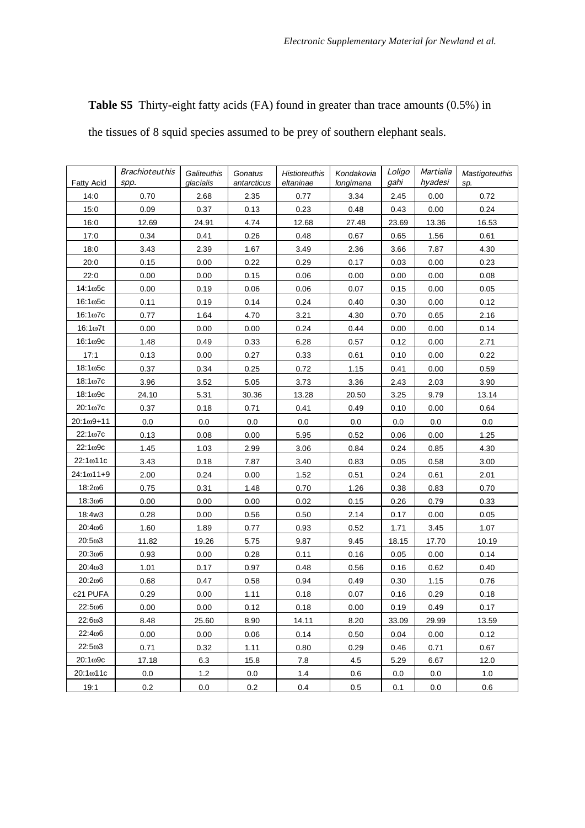**Table S5** Thirty-eight fatty acids (FA) found in greater than trace amounts (0.5%) in the tissues of 8 squid species assumed to be prey of southern elephant seals.

| <b>Fatty Acid</b>  | <b>Brachioteuthis</b><br>spp. | Galiteuthis<br>glacialis | Gonatus<br>antarcticus | <b>Histioteuthis</b><br>eltaninae | Kondakovia<br>longimana | Loligo<br>gahi | Martialia<br>hyadesi | <b>Mastigoteuthis</b><br>sp. |
|--------------------|-------------------------------|--------------------------|------------------------|-----------------------------------|-------------------------|----------------|----------------------|------------------------------|
| 14:0               | 0.70                          | 2.68                     | 2.35                   | 0.77                              | 3.34                    | 2.45           | 0.00                 | 0.72                         |
| 15:0               | 0.09                          | 0.37                     | 0.13                   | 0.23                              | 0.48                    | 0.43           | 0.00                 | 0.24                         |
| 16:0               | 12.69                         | 24.91                    | 4.74                   | 12.68                             | 27.48                   | 23.69          | 13.36                | 16.53                        |
| 17:0               | 0.34                          | 0.41                     | 0.26                   | 0.48                              | 0.67                    | 0.65           | 1.56                 | 0.61                         |
| 18:0               | 3.43                          | 2.39                     | 1.67                   | 3.49                              | 2.36                    | 3.66           | 7.87                 | 4.30                         |
| 20:0               | 0.15                          | 0.00                     | 0.22                   | 0.29                              | 0.17                    | 0.03           | 0.00                 | 0.23                         |
| 22:0               | 0.00                          | 0.00                     | 0.15                   | 0.06                              | 0.00                    | 0.00           | 0.00                 | 0.08                         |
| $14:1\omega$ 5c    | 0.00                          | 0.19                     | 0.06                   | 0.06                              | 0.07                    | 0.15           | 0.00                 | 0.05                         |
| $16:1\omega$ 5c    | 0.11                          | 0.19                     | 0.14                   | 0.24                              | 0.40                    | 0.30           | 0.00                 | 0.12                         |
| $16:1\omega$ 7c    | 0.77                          | 1.64                     | 4.70                   | 3.21                              | 4.30                    | 0.70           | 0.65                 | 2.16                         |
| $16:1\omega$ 7t    | 0.00                          | 0.00                     | 0.00                   | 0.24                              | 0.44                    | 0.00           | 0.00                 | 0.14                         |
| $16:1\omega$ 9c    | 1.48                          | 0.49                     | 0.33                   | 6.28                              | 0.57                    | 0.12           | 0.00                 | 2.71                         |
| 17:1               | 0.13                          | 0.00                     | 0.27                   | 0.33                              | 0.61                    | 0.10           | 0.00                 | 0.22                         |
| $18:1\omega$ 5c    | 0.37                          | 0.34                     | 0.25                   | 0.72                              | 1.15                    | 0.41           | 0.00                 | 0.59                         |
| $18:1\omega$ 7c    | 3.96                          | 3.52                     | 5.05                   | 3.73                              | 3.36                    | 2.43           | 2.03                 | 3.90                         |
| $18:1\omega$ 9c    | 24.10                         | 5.31                     | 30.36                  | 13.28                             | 20.50                   | 3.25           | 9.79                 | 13.14                        |
| $20:1\omega$ 7c    | 0.37                          | 0.18                     | 0.71                   | 0.41                              | 0.49                    | 0.10           | 0.00                 | 0.64                         |
| $20:1\omega9 + 11$ | 0.0                           | 0.0                      | 0.0                    | 0.0                               | 0.0                     | 0.0            | 0.0                  | 0.0                          |
| 22:1ω7c            | 0.13                          | 0.08                     | 0.00                   | 5.95                              | 0.52                    | 0.06           | 0.00                 | 1.25                         |
| 22:1ω9c            | 1.45                          | 1.03                     | 2.99                   | 3.06                              | 0.84                    | 0.24           | 0.85                 | 4.30                         |
| 22:1ω11c           | 3.43                          | 0.18                     | 7.87                   | 3.40                              | 0.83                    | 0.05           | 0.58                 | 3.00                         |
| $24:1\omega$ 11+9  | 2.00                          | 0.24                     | 0.00                   | 1.52                              | 0.51                    | 0.24           | 0.61                 | 2.01                         |
| 18:206             | 0.75                          | 0.31                     | 1.48                   | 0.70                              | 1.26                    | 0.38           | 0.83                 | 0.70                         |
| 18:306             | 0.00                          | 0.00                     | 0.00                   | 0.02                              | 0.15                    | 0.26           | 0.79                 | 0.33                         |
| 18:4w3             | 0.28                          | 0.00                     | 0.56                   | 0.50                              | 2.14                    | 0.17           | 0.00                 | 0.05                         |
| 20:406             | 1.60                          | 1.89                     | 0.77                   | 0.93                              | 0.52                    | 1.71           | 3.45                 | 1.07                         |
| 20:503             | 11.82                         | 19.26                    | 5.75                   | 9.87                              | 9.45                    | 18.15          | 17.70                | 10.19                        |
| 20:306             | 0.93                          | 0.00                     | 0.28                   | 0.11                              | 0.16                    | 0.05           | 0.00                 | 0.14                         |
| 20:403             | 1.01                          | 0.17                     | 0.97                   | 0.48                              | 0.56                    | 0.16           | 0.62                 | 0.40                         |
| 20:206             | 0.68                          | 0.47                     | 0.58                   | 0.94                              | 0.49                    | 0.30           | 1.15                 | 0.76                         |
| c21 PUFA           | 0.29                          | 0.00                     | 1.11                   | 0.18                              | 0.07                    | 0.16           | 0.29                 | 0.18                         |
| $22:5\omega$ 6     | 0.00                          | 0.00                     | 0.12                   | 0.18                              | 0.00                    | 0.19           | 0.49                 | 0.17                         |
| $22:6\omega3$      | 8.48                          | 25.60                    | 8.90                   | 14.11                             | 8.20                    | 33.09          | 29.99                | 13.59                        |
| 22:406             | 0.00                          | 0.00                     | 0.06                   | 0.14                              | 0.50                    | 0.04           | 0.00                 | 0.12                         |
| 22:5ω3             | 0.71                          | 0.32                     | 1.11                   | 0.80                              | 0.29                    | 0.46           | 0.71                 | 0.67                         |
| $20:1\omega$ 9c    | 17.18                         | 6.3                      | 15.8                   | 7.8                               | 4.5                     | 5.29           | 6.67                 | 12.0                         |
| 20:1ω11c           | $0.0\,$                       | 1.2                      | $0.0\,$                | 1.4                               | 0.6                     | 0.0            | 0.0                  | 1.0                          |
| 19:1               | 0.2                           | 0.0                      | 0.2                    | 0.4                               | 0.5                     | 0.1            | 0.0                  | 0.6                          |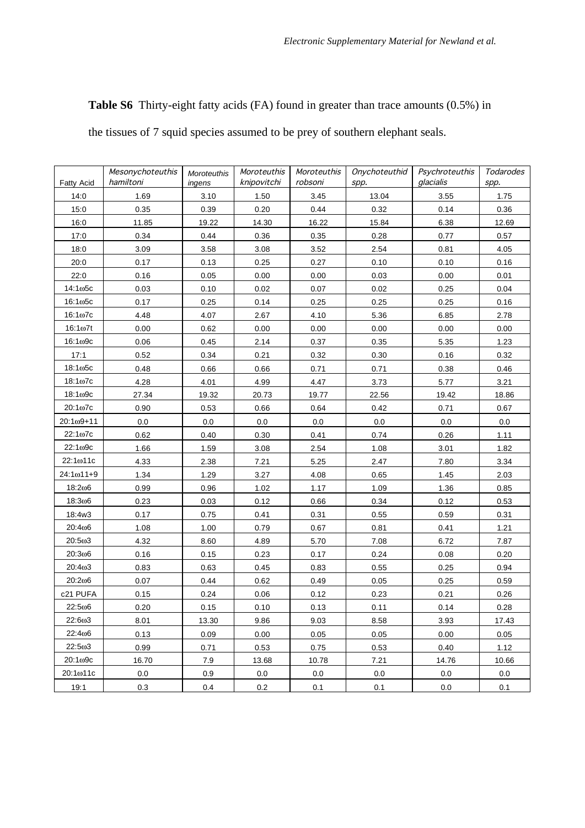**Table S6** Thirty-eight fatty acids (FA) found in greater than trace amounts (0.5%) in

the tissues of 7 squid species assumed to be prey of southern elephant seals.

| <b>Fatty Acid</b>  | Mesonychoteuthis<br>hamiltoni | Moroteuthis<br>ingens | Moroteuthis<br>knipovitchi | Moroteuthis<br>robsoni | Onychoteuthid<br>spp. | Psychroteuthis<br>glacialis | Todarodes<br>spp. |
|--------------------|-------------------------------|-----------------------|----------------------------|------------------------|-----------------------|-----------------------------|-------------------|
| 14:0               | 1.69                          | 3.10                  | 1.50                       | 3.45                   | 13.04                 | 3.55                        | 1.75              |
| 15:0               | 0.35                          | 0.39                  | 0.20                       | 0.44                   | 0.32                  | 0.14                        | 0.36              |
| 16:0               | 11.85                         | 19.22                 | 14.30                      | 16.22                  | 15.84                 | 6.38                        | 12.69             |
| 17:0               | 0.34                          | 0.44                  | 0.36                       | 0.35                   | 0.28                  | 0.77                        | 0.57              |
| 18:0               | 3.09                          | 3.58                  | 3.08                       | 3.52                   | 2.54                  | 0.81                        | 4.05              |
| 20:0               | 0.17                          | 0.13                  | 0.25                       | 0.27                   | 0.10                  | 0.10                        | 0.16              |
| 22:0               | 0.16                          | 0.05                  | 0.00                       | 0.00                   | 0.03                  | 0.00                        | 0.01              |
| $14:1\omega$ 5c    | 0.03                          | 0.10                  | 0.02                       | 0.07                   | 0.02                  | 0.25                        | 0.04              |
| $16:1\omega$ 5c    | 0.17                          | 0.25                  | 0.14                       | 0.25                   | 0.25                  | 0.25                        | 0.16              |
| $16:1\omega$ 7c    | 4.48                          | 4.07                  | 2.67                       | 4.10                   | 5.36                  | 6.85                        | 2.78              |
| $16:1\omega$ 7t    | 0.00                          | 0.62                  | 0.00                       | 0.00                   | 0.00                  | 0.00                        | 0.00              |
| 16:1ω9с            | 0.06                          | 0.45                  | 2.14                       | 0.37                   | 0.35                  | 5.35                        | 1.23              |
| 17:1               | 0.52                          | 0.34                  | 0.21                       | 0.32                   | 0.30                  | 0.16                        | 0.32              |
| $18:1\omega$ 5c    | 0.48                          | 0.66                  | 0.66                       | 0.71                   | 0.71                  | 0.38                        | 0.46              |
| $18:1\omega$ 7c    | 4.28                          | 4.01                  | 4.99                       | 4.47                   | 3.73                  | 5.77                        | 3.21              |
| 18:1ω9с            | 27.34                         | 19.32                 | 20.73                      | 19.77                  | 22.56                 | 19.42                       | 18.86             |
| 20:1ω7c            | 0.90                          | 0.53                  | 0.66                       | 0.64                   | 0.42                  | 0.71                        | 0.67              |
| $20:1\omega9 + 11$ | 0.0                           | 0.0                   | 0.0                        | 0.0                    | 0.0                   | 0.0                         | 0.0               |
| 22:1ω7c            | 0.62                          | 0.40                  | 0.30                       | 0.41                   | 0.74                  | 0.26                        | 1.11              |
| 22:1ω9c            | 1.66                          | 1.59                  | 3.08                       | 2.54                   | 1.08                  | 3.01                        | 1.82              |
| 22:1ω11c           | 4.33                          | 2.38                  | 7.21                       | 5.25                   | 2.47                  | 7.80                        | 3.34              |
| $24:1\omega11+9$   | 1.34                          | 1.29                  | 3.27                       | 4.08                   | 0.65                  | 1.45                        | 2.03              |
| 18:206             | 0.99                          | 0.96                  | 1.02                       | 1.17                   | 1.09                  | 1.36                        | 0.85              |
| 18:306             | 0.23                          | 0.03                  | 0.12                       | 0.66                   | 0.34                  | 0.12                        | 0.53              |
| 18:4w3             | 0.17                          | 0.75                  | 0.41                       | 0.31                   | 0.55                  | 0.59                        | 0.31              |
| 20:406             | 1.08                          | 1.00                  | 0.79                       | 0.67                   | 0.81                  | 0.41                        | 1.21              |
| 20:5ω3             | 4.32                          | 8.60                  | 4.89                       | 5.70                   | 7.08                  | 6.72                        | 7.87              |
| 20:306             | 0.16                          | 0.15                  | 0.23                       | 0.17                   | 0.24                  | 0.08                        | 0.20              |
| 20:403             | 0.83                          | 0.63                  | 0.45                       | 0.83                   | 0.55                  | 0.25                        | 0.94              |
| 20:206             | 0.07                          | 0.44                  | 0.62                       | 0.49                   | 0.05                  | 0.25                        | 0.59              |
| c21 PUFA           | 0.15                          | 0.24                  | 0.06                       | 0.12                   | 0.23                  | 0.21                        | 0.26              |
| 22:506             | 0.20                          | 0.15                  | 0.10                       | 0.13                   | 0.11                  | 0.14                        | 0.28              |
| 22:6ω3             | 8.01                          | 13.30                 | 9.86                       | 9.03                   | 8.58                  | 3.93                        | 17.43             |
| 22:406             | 0.13                          | 0.09                  | 0.00                       | 0.05                   | 0.05                  | 0.00                        | 0.05              |
| 22:503             | 0.99                          | 0.71                  | 0.53                       | 0.75                   | 0.53                  | 0.40                        | 1.12              |
| 20:1ω9c            | 16.70                         | 7.9                   | 13.68                      | 10.78                  | 7.21                  | 14.76                       | 10.66             |
| 20:1ω11c           | $0.0\,$                       | 0.9                   | $0.0\,$                    | 0.0                    | 0.0                   | 0.0                         | $0.0\,$           |
| 19:1               | 0.3                           | 0.4                   | 0.2                        | 0.1                    | 0.1                   | 0.0                         | 0.1               |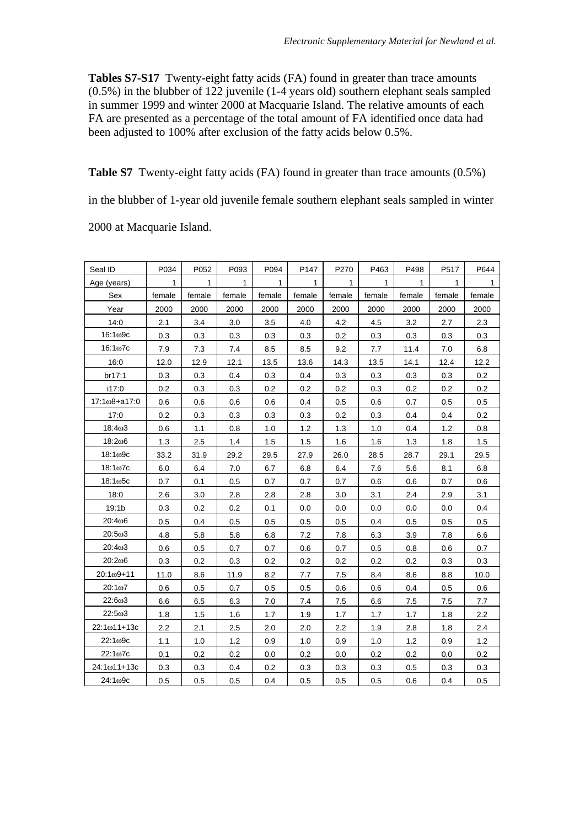**Tables S7-S17** Twenty-eight fatty acids (FA) found in greater than trace amounts (0.5%) in the blubber of 122 juvenile (1-4 years old) southern elephant seals sampled in summer 1999 and winter 2000 at Macquarie Island. The relative amounts of each FA are presented as a percentage of the total amount of FA identified once data had been adjusted to 100% after exclusion of the fatty acids below 0.5%.

**Table S7** Twenty-eight fatty acids (FA) found in greater than trace amounts (0.5%)

in the blubber of 1-year old juvenile female southern elephant seals sampled in winter

2000 at Macquarie Island.

| Seal ID           | P034         | P052         | P093         | P094         | P147         | P270         | P463         | P498    | P517   | P644         |
|-------------------|--------------|--------------|--------------|--------------|--------------|--------------|--------------|---------|--------|--------------|
| Age (years)       | $\mathbf{1}$ | $\mathbf{1}$ | $\mathbf{1}$ | $\mathbf{1}$ | $\mathbf{1}$ | $\mathbf{1}$ | $\mathbf{1}$ | 1       | 1      | $\mathbf{1}$ |
| Sex               | female       | female       | female       | female       | female       | female       | female       | female  | female | female       |
| Year              | 2000         | 2000         | 2000         | 2000         | 2000         | 2000         | 2000         | 2000    | 2000   | 2000         |
| 14:0              | 2.1          | 3.4          | 3.0          | 3.5          | 4.0          | 4.2          | 4.5          | 3.2     | 2.7    | 2.3          |
| 16:1ω9с           | 0.3          | 0.3          | 0.3          | 0.3          | 0.3          | 0.2          | 0.3          | 0.3     | 0.3    | 0.3          |
| $16:1\omega$ 7c   | 7.9          | 7.3          | 7.4          | 8.5          | 8.5          | 9.2          | 7.7          | 11.4    | 7.0    | 6.8          |
| 16:0              | 12.0         | 12.9         | 12.1         | 13.5         | 13.6         | 14.3         | 13.5         | 14.1    | 12.4   | 12.2         |
| br17:1            | 0.3          | 0.3          | 0.4          | 0.3          | 0.4          | 0.3          | 0.3          | 0.3     | 0.3    | 0.2          |
| i17:0             | 0.2          | 0.3          | 0.3          | 0.2          | 0.2          | 0.2          | 0.3          | 0.2     | 0.2    | 0.2          |
| 17:1ω8+a17:0      | 0.6          | 0.6          | 0.6          | 0.6          | 0.4          | 0.5          | 0.6          | 0.7     | 0.5    | 0.5          |
| 17:0              | 0.2          | 0.3          | 0.3          | 0.3          | 0.3          | 0.2          | 0.3          | 0.4     | 0.4    | 0.2          |
| 18:403            | 0.6          | 1.1          | 0.8          | 1.0          | 1.2          | 1.3          | 1.0          | 0.4     | 1.2    | 0.8          |
| 18:206            | 1.3          | 2.5          | 1.4          | 1.5          | 1.5          | 1.6          | 1.6          | 1.3     | 1.8    | 1.5          |
| 18:1ω9c           | 33.2         | 31.9         | 29.2         | 29.5         | 27.9         | 26.0         | 28.5         | 28.7    | 29.1   | 29.5         |
| $18:1\omega$ 7c   | 6.0          | 6.4          | 7.0          | 6.7          | 6.8          | 6.4          | 7.6          | 5.6     | 8.1    | 6.8          |
| 18:1ω5с           | 0.7          | 0.1          | 0.5          | 0.7          | 0.7          | 0.7          | 0.6          | 0.6     | 0.7    | 0.6          |
| 18:0              | 2.6          | 3.0          | 2.8          | 2.8          | 2.8          | 3.0          | 3.1          | 2.4     | 2.9    | 3.1          |
| 19:1 <sub>b</sub> | 0.3          | 0.2          | 0.2          | 0.1          | 0.0          | 0.0          | 0.0          | 0.0     | 0.0    | 0.4          |
| 20:406            | 0.5          | 0.4          | 0.5          | 0.5          | 0.5          | 0.5          | 0.4          | 0.5     | 0.5    | 0.5          |
| 20:503            | 4.8          | 5.8          | 5.8          | 6.8          | 7.2          | 7.8          | 6.3          | 3.9     | 7.8    | 6.6          |
| 20:403            | 0.6          | 0.5          | 0.7          | 0.7          | 0.6          | 0.7          | 0.5          | 0.8     | 0.6    | 0.7          |
| 20:206            | 0.3          | 0.2          | 0.3          | 0.2          | 0.2          | 0.2          | 0.2          | 0.2     | 0.3    | 0.3          |
| $20:1\omega9+11$  | 11.0         | 8.6          | 11.9         | 8.2          | 7.7          | 7.5          | 8.4          | 8.6     | 8.8    | 10.0         |
| $20:1\omega$ 7    | 0.6          | 0.5          | 0.7          | 0.5          | 0.5          | 0.6          | 0.6          | 0.4     | 0.5    | 0.6          |
| 22:6ω3            | 6.6          | 6.5          | 6.3          | 7.0          | 7.4          | 7.5          | 6.6          | 7.5     | 7.5    | 7.7          |
| 22:5ω3            | 1.8          | 1.5          | 1.6          | 1.7          | 1.9          | 1.7          | 1.7          | 1.7     | 1.8    | 2.2          |
| 22:1ω11+13c       | 2.2          | 2.1          | 2.5          | 2.0          | 2.0          | 2.2          | 1.9          | 2.8     | 1.8    | 2.4          |
| 22:1ω9c           | 1.1          | 1.0          | 1.2          | 0.9          | 1.0          | 0.9          | 1.0          | $1.2\,$ | 0.9    | 1.2          |
| 22:1ω7c           | 0.1          | 0.2          | 0.2          | 0.0          | 0.2          | 0.0          | 0.2          | 0.2     | 0.0    | 0.2          |
| 24:1ω11+13c       | 0.3          | 0.3          | 0.4          | 0.2          | 0.3          | 0.3          | 0.3          | 0.5     | 0.3    | 0.3          |
| 24:1ω9с           | 0.5          | 0.5          | 0.5          | 0.4          | 0.5          | 0.5          | 0.5          | 0.6     | 0.4    | 0.5          |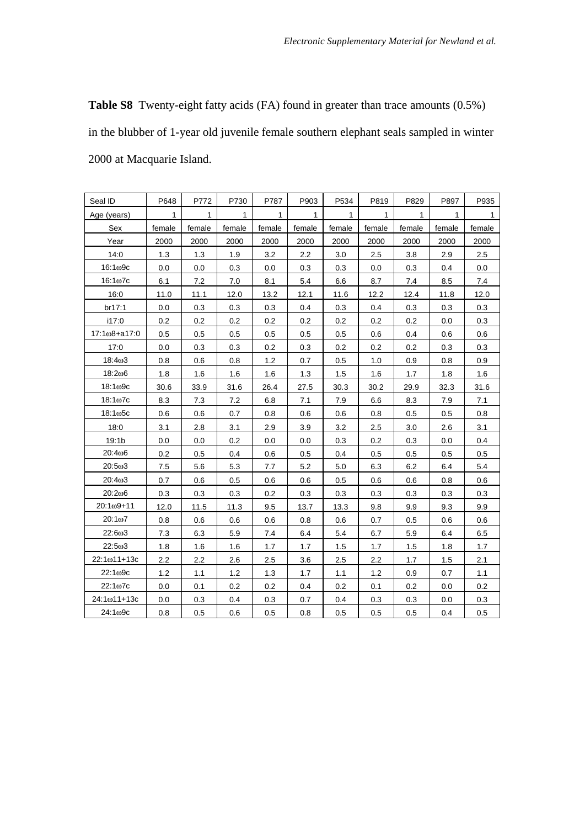**Table S8** Twenty-eight fatty acids (FA) found in greater than trace amounts (0.5%) in the blubber of 1-year old juvenile female southern elephant seals sampled in winter 2000 at Macquarie Island.

| Seal ID           | P648   | P772   | P730   | P787   | P903   | P534   | P819    | P829   | P897   | P935   |
|-------------------|--------|--------|--------|--------|--------|--------|---------|--------|--------|--------|
| Age (years)       | 1      | 1      | 1      | 1      | 1      | 1      | 1       | 1      | 1      | 1      |
| Sex               | female | female | female | female | female | female | female  | female | female | female |
| Year              | 2000   | 2000   | 2000   | 2000   | 2000   | 2000   | 2000    | 2000   | 2000   | 2000   |
| 14:0              | 1.3    | 1.3    | 1.9    | 3.2    | 2.2    | 3.0    | 2.5     | 3.8    | 2.9    | 2.5    |
| $16:1\omega$ 9c   | 0.0    | 0.0    | 0.3    | 0.0    | 0.3    | 0.3    | 0.0     | 0.3    | 0.4    | 0.0    |
| $16:1\omega$ 7c   | 6.1    | 7.2    | 7.0    | 8.1    | 5.4    | 6.6    | 8.7     | 7.4    | 8.5    | 7.4    |
| 16:0              | 11.0   | 11.1   | 12.0   | 13.2   | 12.1   | 11.6   | 12.2    | 12.4   | 11.8   | 12.0   |
| br17:1            | 0.0    | 0.3    | 0.3    | 0.3    | 0.4    | 0.3    | 0.4     | 0.3    | 0.3    | 0.3    |
| i17:0             | 0.2    | 0.2    | 0.2    | 0.2    | 0.2    | 0.2    | 0.2     | 0.2    | 0.0    | 0.3    |
| 17:1ω8+a17:0      | 0.5    | 0.5    | 0.5    | 0.5    | 0.5    | 0.5    | 0.6     | 0.4    | 0.6    | 0.6    |
| 17:0              | 0.0    | 0.3    | 0.3    | 0.2    | 0.3    | 0.2    | $0.2\,$ | 0.2    | 0.3    | 0.3    |
| 18:403            | 0.8    | 0.6    | 0.8    | 1.2    | 0.7    | 0.5    | 1.0     | 0.9    | 0.8    | 0.9    |
| 18:206            | 1.8    | 1.6    | 1.6    | 1.6    | 1.3    | 1.5    | 1.6     | 1.7    | 1.8    | 1.6    |
| 18:1ω9с           | 30.6   | 33.9   | 31.6   | 26.4   | 27.5   | 30.3   | 30.2    | 29.9   | 32.3   | 31.6   |
| $18:1\omega$ 7c   | 8.3    | 7.3    | 7.2    | 6.8    | 7.1    | 7.9    | 6.6     | 8.3    | 7.9    | 7.1    |
| $18:1\omega$ 5c   | 0.6    | 0.6    | 0.7    | 0.8    | 0.6    | 0.6    | 0.8     | 0.5    | 0.5    | 0.8    |
| 18:0              | 3.1    | 2.8    | 3.1    | 2.9    | 3.9    | 3.2    | 2.5     | 3.0    | 2.6    | 3.1    |
| 19:1 <sub>b</sub> | 0.0    | 0.0    | 0.2    | 0.0    | 0.0    | 0.3    | 0.2     | 0.3    | 0.0    | 0.4    |
| 20:406            | 0.2    | 0.5    | 0.4    | 0.6    | 0.5    | 0.4    | 0.5     | 0.5    | 0.5    | 0.5    |
| $20:5\omega3$     | 7.5    | 5.6    | 5.3    | 7.7    | 5.2    | 5.0    | 6.3     | 6.2    | 6.4    | 5.4    |
| 20:403            | 0.7    | 0.6    | 0.5    | 0.6    | 0.6    | 0.5    | 0.6     | 0.6    | 0.8    | 0.6    |
| 20:206            | 0.3    | 0.3    | 0.3    | 0.2    | 0.3    | 0.3    | 0.3     | 0.3    | 0.3    | 0.3    |
| $20:1\omega$ 9+11 | 12.0   | 11.5   | 11.3   | 9.5    | 13.7   | 13.3   | 9.8     | 9.9    | 9.3    | 9.9    |
| 20:1ω7            | 0.8    | 0.6    | 0.6    | 0.6    | 0.8    | 0.6    | 0.7     | 0.5    | 0.6    | 0.6    |
| 22:603            | 7.3    | 6.3    | 5.9    | 7.4    | 6.4    | 5.4    | 6.7     | 5.9    | 6.4    | 6.5    |
| 22:503            | 1.8    | 1.6    | 1.6    | 1.7    | 1.7    | 1.5    | 1.7     | 1.5    | 1.8    | 1.7    |
| 22:1ω11+13c       | 2.2    | 2.2    | 2.6    | 2.5    | 3.6    | 2.5    | 2.2     | 1.7    | 1.5    | 2.1    |
| 22:1ω9c           | 1.2    | 1.1    | 1.2    | 1.3    | 1.7    | 1.1    | 1.2     | 0.9    | 0.7    | 1.1    |
| $22:1\omega$ 7c   | 0.0    | 0.1    | 0.2    | 0.2    | 0.4    | 0.2    | 0.1     | 0.2    | 0.0    | 0.2    |
| 24:1ω11+13c       | 0.0    | 0.3    | 0.4    | 0.3    | 0.7    | 0.4    | 0.3     | 0.3    | 0.0    | 0.3    |
| 24:1ω9с           | 0.8    | 0.5    | 0.6    | 0.5    | 0.8    | 0.5    | 0.5     | 0.5    | 0.4    | 0.5    |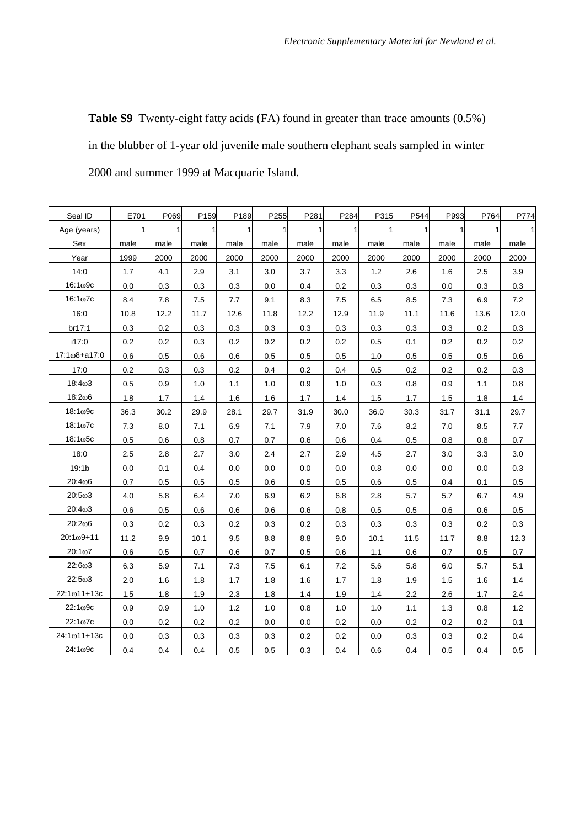**Table S9** Twenty-eight fatty acids (FA) found in greater than trace amounts (0.5%) in the blubber of 1-year old juvenile male southern elephant seals sampled in winter 2000 and summer 1999 at Macquarie Island.

| Seal ID               | E701 | P069         | P159 | P189         | P255         | P281 | P284         | P315         | P544    | P993         | P764 | P774         |
|-----------------------|------|--------------|------|--------------|--------------|------|--------------|--------------|---------|--------------|------|--------------|
| Age (years)           |      | $\mathbf{1}$ | 1    | $\mathbf{1}$ | $\mathbf{1}$ |      | $\mathbf{1}$ | $\mathbf{1}$ | 1       | $\mathbf{1}$ |      | $\mathbf{1}$ |
| Sex                   | male | male         | male | male         | male         | male | male         | male         | male    | male         | male | male         |
| Year                  | 1999 | 2000         | 2000 | 2000         | 2000         | 2000 | 2000         | 2000         | 2000    | 2000         | 2000 | 2000         |
| 14:0                  | 1.7  | 4.1          | 2.9  | 3.1          | 3.0          | 3.7  | 3.3          | 1.2          | 2.6     | 1.6          | 2.5  | 3.9          |
| 16:1ω9с               | 0.0  | 0.3          | 0.3  | 0.3          | 0.0          | 0.4  | 0.2          | 0.3          | 0.3     | 0.0          | 0.3  | 0.3          |
| $16:1\omega$ 7c       | 8.4  | 7.8          | 7.5  | 7.7          | 9.1          | 8.3  | 7.5          | 6.5          | 8.5     | 7.3          | 6.9  | 7.2          |
| 16:0                  | 10.8 | 12.2         | 11.7 | 12.6         | 11.8         | 12.2 | 12.9         | 11.9         | 11.1    | 11.6         | 13.6 | 12.0         |
| br17:1                | 0.3  | 0.2          | 0.3  | 0.3          | 0.3          | 0.3  | 0.3          | 0.3          | 0.3     | 0.3          | 0.2  | 0.3          |
| i17:0                 | 0.2  | 0.2          | 0.3  | 0.2          | 0.2          | 0.2  | 0.2          | 0.5          | 0.1     | 0.2          | 0.2  | 0.2          |
| 17:1ω8+a17:0          | 0.6  | 0.5          | 0.6  | 0.6          | 0.5          | 0.5  | 0.5          | 1.0          | 0.5     | 0.5          | 0.5  | 0.6          |
| 17:0                  | 0.2  | 0.3          | 0.3  | 0.2          | 0.4          | 0.2  | 0.4          | 0.5          | 0.2     | 0.2          | 0.2  | 0.3          |
| 18:403                | 0.5  | 0.9          | 1.0  | 1.1          | 1.0          | 0.9  | 1.0          | 0.3          | 0.8     | 0.9          | 1.1  | 0.8          |
| 18:206                | 1.8  | 1.7          | 1.4  | 1.6          | 1.6          | 1.7  | 1.4          | 1.5          | 1.7     | 1.5          | 1.8  | 1.4          |
| $18:1\omega$ 9c       | 36.3 | 30.2         | 29.9 | 28.1         | 29.7         | 31.9 | 30.0         | 36.0         | 30.3    | 31.7         | 31.1 | 29.7         |
| 18:1 <sub>00</sub> 7c | 7.3  | 8.0          | 7.1  | 6.9          | 7.1          | 7.9  | 7.0          | 7.6          | 8.2     | 7.0          | 8.5  | 7.7          |
| 18:1ω5с               | 0.5  | 0.6          | 0.8  | 0.7          | 0.7          | 0.6  | 0.6          | 0.4          | $0.5\,$ | 0.8          | 0.8  | 0.7          |
| 18:0                  | 2.5  | 2.8          | 2.7  | 3.0          | 2.4          | 2.7  | 2.9          | 4.5          | 2.7     | 3.0          | 3.3  | 3.0          |
| 19:1b                 | 0.0  | 0.1          | 0.4  | 0.0          | 0.0          | 0.0  | 0.0          | 0.8          | 0.0     | 0.0          | 0.0  | 0.3          |
| 20:406                | 0.7  | 0.5          | 0.5  | 0.5          | 0.6          | 0.5  | 0.5          | 0.6          | 0.5     | 0.4          | 0.1  | 0.5          |
| 20:5ω3                | 4.0  | 5.8          | 6.4  | 7.0          | 6.9          | 6.2  | 6.8          | 2.8          | 5.7     | 5.7          | 6.7  | 4.9          |
| 20:403                | 0.6  | 0.5          | 0.6  | 0.6          | 0.6          | 0.6  | 0.8          | 0.5          | 0.5     | 0.6          | 0.6  | 0.5          |
| 20:206                | 0.3  | 0.2          | 0.3  | 0.2          | 0.3          | 0.2  | 0.3          | 0.3          | 0.3     | 0.3          | 0.2  | 0.3          |
| $20:1\omega$ 9+11     | 11.2 | 9.9          | 10.1 | 9.5          | 8.8          | 8.8  | 9.0          | 10.1         | 11.5    | 11.7         | 8.8  | 12.3         |
| 20:1ω7                | 0.6  | 0.5          | 0.7  | 0.6          | 0.7          | 0.5  | 0.6          | 1.1          | 0.6     | 0.7          | 0.5  | 0.7          |
| 22:6ω3                | 6.3  | 5.9          | 7.1  | 7.3          | 7.5          | 6.1  | 7.2          | 5.6          | 5.8     | 6.0          | 5.7  | 5.1          |
| 22:5ω3                | 2.0  | 1.6          | 1.8  | 1.7          | 1.8          | 1.6  | 1.7          | 1.8          | 1.9     | 1.5          | 1.6  | 1.4          |
| 22:1ω11+13c           | 1.5  | 1.8          | 1.9  | 2.3          | 1.8          | 1.4  | 1.9          | 1.4          | 2.2     | 2.6          | 1.7  | 2.4          |
| 22:1 <sub>09c</sub>   | 0.9  | 0.9          | 1.0  | 1.2          | 1.0          | 0.8  | 1.0          | 1.0          | 1.1     | 1.3          | 0.8  | 1.2          |
| 22:1ω7c               | 0.0  | 0.2          | 0.2  | 0.2          | 0.0          | 0.0  | 0.2          | 0.0          | 0.2     | 0.2          | 0.2  | 0.1          |
| $24:1\omega$ 11+13c   | 0.0  | 0.3          | 0.3  | 0.3          | 0.3          | 0.2  | 0.2          | 0.0          | 0.3     | 0.3          | 0.2  | 0.4          |
| 24:109c               | 0.4  | 0.4          | 0.4  | 0.5          | 0.5          | 0.3  | 0.4          | 0.6          | 0.4     | 0.5          | 0.4  | 0.5          |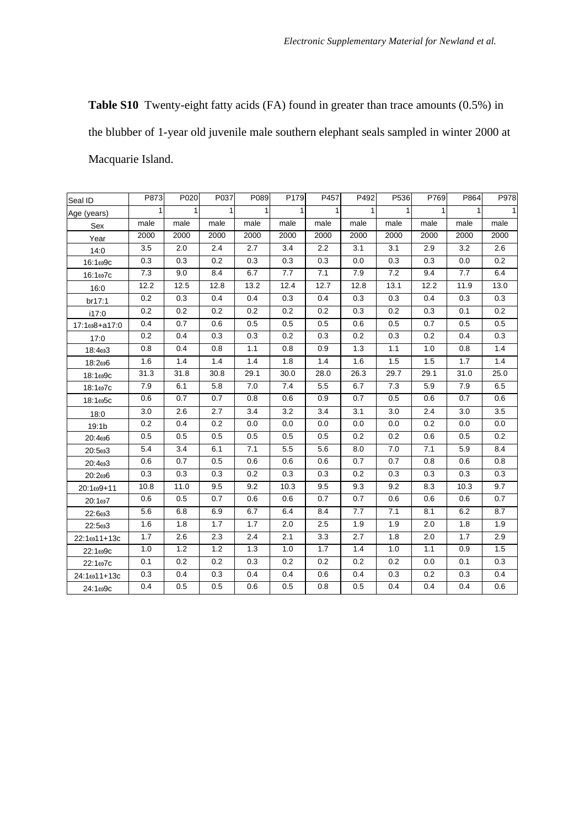**Table S10** Twenty-eight fatty acids (FA) found in greater than trace amounts (0.5%) in the blubber of 1-year old juvenile male southern elephant seals sampled in winter 2000 at Macquarie Island.

| Seal ID           | P873             | P020         | P037 | P089  | P179             | P457 | P492             | P536             | P769         | P864             | P978 |
|-------------------|------------------|--------------|------|-------|------------------|------|------------------|------------------|--------------|------------------|------|
| Age (years)       | 1                | $\mathbf{1}$ | 1    | 1     | 1                | 1    | 1                | 1                | $\mathbf{1}$ | 1                | 1    |
| Sex               | male             | male         | male | male  | male             | male | male             | male             | male         | male             | male |
| Year              | 2000             | 2000         | 2000 | 2000  | 2000             | 2000 | 2000             | 2000             | 2000         | 2000             | 2000 |
| 14:0              | 3.5              | 2.0          | 2.4  | 2.7   | 3.4              | 2.2  | 3.1              | 3.1              | 2.9          | 3.2              | 2.6  |
| $16:1\omega$ 9c   | 0.3              | 0.3          | 0.2  | 0.3   | 0.3              | 0.3  | 0.0              | 0.3              | 0.3          | 0.0              | 0.2  |
| $16:1\omega$ 7c   | 7.3              | 9.0          | 8.4  | 6.7   | 7.7              | 7.1  | 7.9              | 7.2              | 9.4          | 7.7              | 6.4  |
| 16:0              | 12.2             | 12.5         | 12.8 | 13.2  | 12.4             | 12.7 | 12.8             | 13.1             | 12.2         | 11.9             | 13.0 |
| br17:1            | 0.2              | 0.3          | 0.4  | 0.4   | 0.3              | 0.4  | 0.3              | 0.3              | 0.4          | 0.3              | 0.3  |
| i17:0             | 0.2              | 0.2          | 0.2  | 0.2   | 0.2              | 0.2  | 0.3              | 0.2              | 0.3          | 0.1              | 0.2  |
| 17:1ω8+a17:0      | 0.4              | 0.7          | 0.6  | 0.5   | 0.5              | 0.5  | 0.6              | 0.5              | 0.7          | 0.5              | 0.5  |
| 17:0              | 0.2              | 0.4          | 0.3  | 0.3   | 0.2              | 0.3  | 0.2              | 0.3              | 0.2          | 0.4              | 0.3  |
| 18:403            | 0.8              | 0.4          | 0.8  | 1.1   | 0.8              | 0.9  | 1.3              | 1.1              | 1.0          | 0.8              | 1.4  |
| 18:206            | 1.6              | 1.4          | 1.4  | 1.4   | 1.8              | 1.4  | 1.6              | 1.5              | 1.5          | 1.7              | 1.4  |
| 18:1ω9c           | 31.3             | 31.8         | 30.8 | 29.1  | 30.0             | 28.0 | 26.3             | 29.7             | 29.1         | 31.0             | 25.0 |
| 18:1ω7с           | 7.9              | 6.1          | 5.8  | $7.0$ | 7.4              | 5.5  | 6.7              | 7.3              | 5.9          | 7.9              | 6.5  |
| $18:1\omega$ 5c   | 0.6              | 0.7          | 0.7  | 0.8   | 0.6              | 0.9  | 0.7              | 0.5              | 0.6          | 0.7              | 0.6  |
| 18:0              | $\overline{3.0}$ | 2.6          | 2.7  | 3.4   | $\overline{3.2}$ | 3.4  | $\overline{3.1}$ | $\overline{3.0}$ | 2.4          | $\overline{3.0}$ | 3.5  |
| 19:1 <sub>b</sub> | 0.2              | 0.4          | 0.2  | 0.0   | 0.0              | 0.0  | 0.0              | 0.0              | 0.2          | 0.0              | 0.0  |
| 20:406            | 0.5              | 0.5          | 0.5  | 0.5   | 0.5              | 0.5  | 0.2              | 0.2              | 0.6          | 0.5              | 0.2  |
| 20:5ω3            | 5.4              | 3.4          | 6.1  | 7.1   | 5.5              | 5.6  | 8.0              | $7.0$            | 7.1          | 5.9              | 8.4  |
| 20:4ω3            | 0.6              | 0.7          | 0.5  | 0.6   | 0.6              | 0.6  | 0.7              | 0.7              | 0.8          | 0.6              | 0.8  |
| 20:206            | 0.3              | 0.3          | 0.3  | 0.2   | 0.3              | 0.3  | 0.2              | 0.3              | 0.3          | 0.3              | 0.3  |
| 20:1ω9+11         | 10.8             | 11.0         | 9.5  | 9.2   | 10.3             | 9.5  | 9.3              | 9.2              | 8.3          | 10.3             | 9.7  |
| 20:1ω7            | 0.6              | 0.5          | 0.7  | 0.6   | 0.6              | 0.7  | $0.7\,$          | 0.6              | 0.6          | 0.6              | 0.7  |
| 22:6ω3            | 5.6              | 6.8          | 6.9  | 6.7   | 6.4              | 8.4  | 7.7              | 7.1              | 8.1          | 6.2              | 8.7  |
| 22:5ω3            | 1.6              | 1.8          | 1.7  | 1.7   | 2.0              | 2.5  | 1.9              | 1.9              | 2.0          | 1.8              | 1.9  |
| 22:1ω11+13c       | 1.7              | 2.6          | 2.3  | 2.4   | 2.1              | 3.3  | 2.7              | 1.8              | 2.0          | 1.7              | 2.9  |
| 22:1ω9c           | 1.0              | 1.2          | 1.2  | 1.3   | 1.0              | 1.7  | 1.4              | 1.0              | 1.1          | 0.9              | 1.5  |
| 22:1ω7c           | 0.1              | 0.2          | 0.2  | 0.3   | 0.2              | 0.2  | 0.2              | 0.2              | 0.0          | 0.1              | 0.3  |
| 24:1ω11+13c       | 0.3              | 0.4          | 0.3  | 0.4   | 0.4              | 0.6  | 0.4              | 0.3              | 0.2          | 0.3              | 0.4  |
| 24:1ω9c           | 0.4              | 0.5          | 0.5  | 0.6   | 0.5              | 0.8  | 0.5              | 0.4              | 0.4          | 0.4              | 0.6  |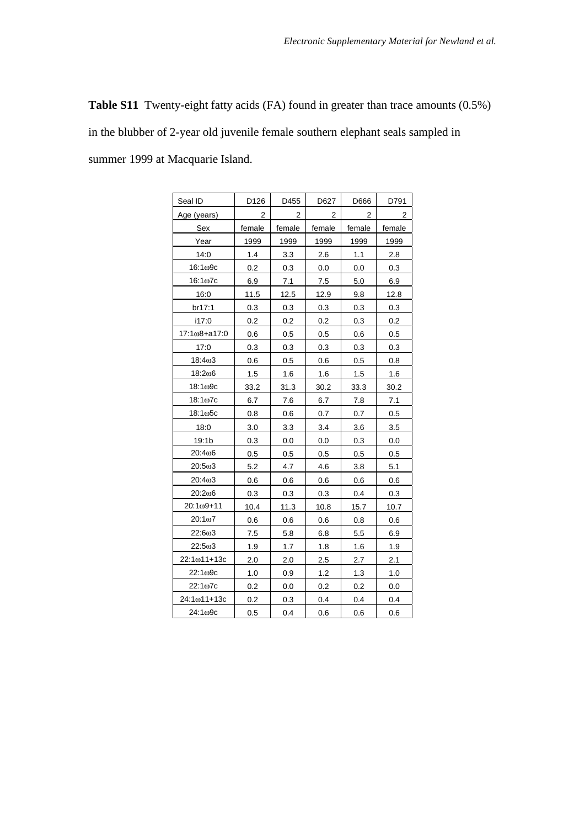**Table S11** Twenty-eight fatty acids (FA) found in greater than trace amounts (0.5%) in the blubber of 2-year old juvenile female southern elephant seals sampled in summer 1999 at Macquarie Island.

| Seal ID               | D126   | D455   | D627   | D666   | D791   |
|-----------------------|--------|--------|--------|--------|--------|
| Age (years)           | 2      | 2      | 2      | 2      | 2      |
| Sex                   | female | female | female | female | female |
| Year                  | 1999   | 1999   | 1999   | 1999   | 1999   |
| 14:0                  | 1.4    | 3.3    | 2.6    | 1.1    | 2.8    |
| 16:1ω9с               | 0.2    | 0.3    | 0.0    | 0.0    | 0.3    |
| 16:1ω7c               | 6.9    | 7.1    | 7.5    | 5.0    | 6.9    |
| 16:0                  | 11.5   | 12.5   | 12.9   | 9.8    | 12.8   |
| br17:1                | 0.3    | 0.3    | 0.3    | 0.3    | 0.3    |
| i17:0                 | 0.2    | 0.2    | 0.2    | 0.3    | 0.2    |
| 17:1ω8+a17:0          | 0.6    | 0.5    | 0.5    | 0.6    | 0.5    |
| 17:0                  | 0.3    | 0.3    | 0.3    | 0.3    | 0.3    |
| 18:403                | 0.6    | 0.5    | 0.6    | 0.5    | 0.8    |
| 18:206                | 1.5    | 1.6    | 1.6    | 1.5    | 1.6    |
| 18:1ω9с               | 33.2   | 31.3   | 30.2   | 33.3   | 30.2   |
| $18:1\omega$ 7c       | 6.7    | 7.6    | 6.7    | 7.8    | 7.1    |
| 18:1 <sub>00</sub> 5c | 0.8    | 0.6    | 0.7    | 0.7    | 0.5    |
| 18:0                  | 3.0    | 3.3    | 3.4    | 3.6    | 3.5    |
| 19:1 <sub>b</sub>     | 0.3    | 0.0    | 0.0    | 0.3    | 0.0    |
| 20:406                | 0.5    | 0.5    | 0.5    | 0.5    | 0.5    |
| 20:5ω3                | 5.2    | 4.7    | 4.6    | 3.8    | 5.1    |
| 20:403                | 0.6    | 0.6    | 0.6    | 0.6    | 0.6    |
| 20:206                | 0.3    | 0.3    | 0.3    | 0.4    | 0.3    |
| $20:1\omega9 + 11$    | 10.4   | 11.3   | 10.8   | 15.7   | 10.7   |
| $20:1\omega$ 7        | 0.6    | 0.6    | 0.6    | 0.8    | 0.6    |
| 22:6ω3                | 7.5    | 5.8    | 6.8    | 5.5    | 6.9    |
| 22:5ω3                | 1.9    | 1.7    | 1.8    | 1.6    | 1.9    |
| 22:1ω11+13c           | 2.0    | 2.0    | 2.5    | 2.7    | 2.1    |
| 22:109c               | 1.0    | 0.9    | 1.2    | 1.3    | 1.0    |
| 22:1 <sub>0</sub> 7c  | 0.2    | 0.0    | 0.2    | 0.2    | 0.0    |
| $24:1\omega$ 11+13c   | 0.2    | 0.3    | 0.4    | 0.4    | 0.4    |
| 24:1 <sub>0</sub> 9c  | 0.5    | 0.4    | 0.6    | 0.6    | 0.6    |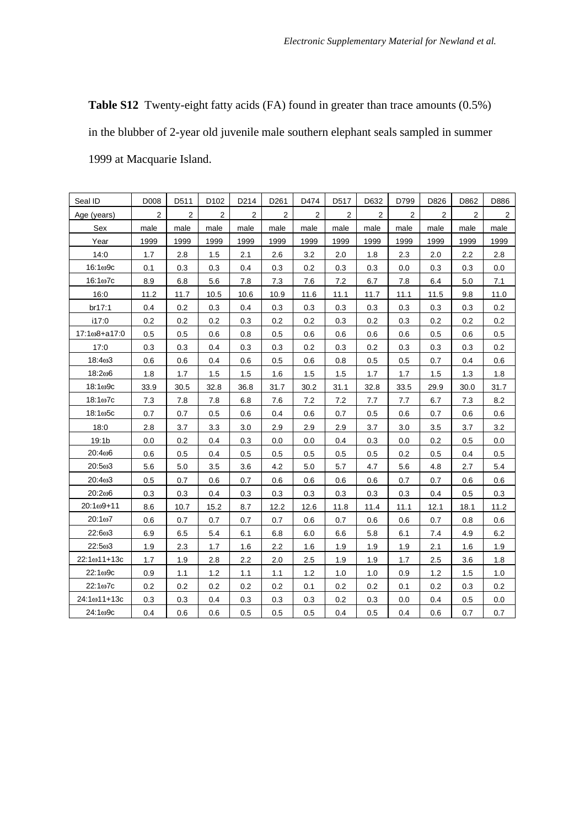**Table S12** Twenty-eight fatty acids (FA) found in greater than trace amounts (0.5%) in the blubber of 2-year old juvenile male southern elephant seals sampled in summer 1999 at Macquarie Island.

| Seal ID             | D008 | D511 | D <sub>102</sub> | D214    | D261           | D474 | D517 | D632 | D799 | D826 | D862 | D886           |
|---------------------|------|------|------------------|---------|----------------|------|------|------|------|------|------|----------------|
| Age (years)         | 2    | 2    | 2                | 2       | $\overline{c}$ | 2    | 2    | 2    | 2    | 2    | 2    | $\overline{2}$ |
| Sex                 | male | male | male             | male    | male           | male | male | male | male | male | male | male           |
| Year                | 1999 | 1999 | 1999             | 1999    | 1999           | 1999 | 1999 | 1999 | 1999 | 1999 | 1999 | 1999           |
| 14:0                | 1.7  | 2.8  | 1.5              | 2.1     | 2.6            | 3.2  | 2.0  | 1.8  | 2.3  | 2.0  | 2.2  | 2.8            |
| $16:1\omega$ 9c     | 0.1  | 0.3  | 0.3              | 0.4     | 0.3            | 0.2  | 0.3  | 0.3  | 0.0  | 0.3  | 0.3  | 0.0            |
| $16:1\omega$ 7c     | 8.9  | 6.8  | 5.6              | $7.8\,$ | 7.3            | 7.6  | 7.2  | 6.7  | 7.8  | 6.4  | 5.0  | 7.1            |
| 16:0                | 11.2 | 11.7 | 10.5             | 10.6    | 10.9           | 11.6 | 11.1 | 11.7 | 11.1 | 11.5 | 9.8  | 11.0           |
| br17:1              | 0.4  | 0.2  | 0.3              | 0.4     | 0.3            | 0.3  | 0.3  | 0.3  | 0.3  | 0.3  | 0.3  | 0.2            |
| i17:0               | 0.2  | 0.2  | 0.2              | 0.3     | 0.2            | 0.2  | 0.3  | 0.2  | 0.3  | 0.2  | 0.2  | 0.2            |
| 17:1ω8+a17:0        | 0.5  | 0.5  | 0.6              | 0.8     | 0.5            | 0.6  | 0.6  | 0.6  | 0.6  | 0.5  | 0.6  | 0.5            |
| 17:0                | 0.3  | 0.3  | 0.4              | 0.3     | 0.3            | 0.2  | 0.3  | 0.2  | 0.3  | 0.3  | 0.3  | 0.2            |
| 18:403              | 0.6  | 0.6  | 0.4              | 0.6     | 0.5            | 0.6  | 0.8  | 0.5  | 0.5  | 0.7  | 0.4  | 0.6            |
| 18:206              | 1.8  | 1.7  | 1.5              | 1.5     | 1.6            | 1.5  | 1.5  | 1.7  | 1.7  | 1.5  | 1.3  | 1.8            |
| 18:1ω9c             | 33.9 | 30.5 | 32.8             | 36.8    | 31.7           | 30.2 | 31.1 | 32.8 | 33.5 | 29.9 | 30.0 | 31.7           |
| $18:1\omega$ 7c     | 7.3  | 7.8  | 7.8              | 6.8     | 7.6            | 7.2  | 7.2  | 7.7  | 7.7  | 6.7  | 7.3  | 8.2            |
| 18:1ω5с             | 0.7  | 0.7  | 0.5              | 0.6     | 0.4            | 0.6  | 0.7  | 0.5  | 0.6  | 0.7  | 0.6  | 0.6            |
| 18:0                | 2.8  | 3.7  | 3.3              | 3.0     | 2.9            | 2.9  | 2.9  | 3.7  | 3.0  | 3.5  | 3.7  | 3.2            |
| 19:1 <sub>b</sub>   | 0.0  | 0.2  | 0.4              | 0.3     | 0.0            | 0.0  | 0.4  | 0.3  | 0.0  | 0.2  | 0.5  | 0.0            |
| 20:406              | 0.6  | 0.5  | 0.4              | 0.5     | 0.5            | 0.5  | 0.5  | 0.5  | 0.2  | 0.5  | 0.4  | 0.5            |
| 20:5ω3              | 5.6  | 5.0  | 3.5              | 3.6     | 4.2            | 5.0  | 5.7  | 4.7  | 5.6  | 4.8  | 2.7  | 5.4            |
| 20:4 <sub>0</sub> 3 | 0.5  | 0.7  | 0.6              | 0.7     | 0.6            | 0.6  | 0.6  | 0.6  | 0.7  | 0.7  | 0.6  | 0.6            |
| 20:206              | 0.3  | 0.3  | 0.4              | 0.3     | 0.3            | 0.3  | 0.3  | 0.3  | 0.3  | 0.4  | 0.5  | 0.3            |
| $20:1\omega9 + 11$  | 8.6  | 10.7 | 15.2             | 8.7     | 12.2           | 12.6 | 11.8 | 11.4 | 11.1 | 12.1 | 18.1 | 11.2           |
| 20:1ω7              | 0.6  | 0.7  | 0.7              | 0.7     | 0.7            | 0.6  | 0.7  | 0.6  | 0.6  | 0.7  | 0.8  | 0.6            |
| 22:6ω3              | 6.9  | 6.5  | 5.4              | 6.1     | 6.8            | 6.0  | 6.6  | 5.8  | 6.1  | 7.4  | 4.9  | 6.2            |
| 22:5ω3              | 1.9  | 2.3  | 1.7              | 1.6     | 2.2            | 1.6  | 1.9  | 1.9  | 1.9  | 2.1  | 1.6  | 1.9            |
| 22:1ω11+13c         | 1.7  | 1.9  | 2.8              | 2.2     | 2.0            | 2.5  | 1.9  | 1.9  | 1.7  | 2.5  | 3.6  | 1.8            |
| 22:1ω9c             | 0.9  | 1.1  | 1.2              | 1.1     | 1.1            | 1.2  | 1.0  | 1.0  | 0.9  | 1.2  | 1.5  | 1.0            |
| 22:1ω7c             | 0.2  | 0.2  | 0.2              | 0.2     | 0.2            | 0.1  | 0.2  | 0.2  | 0.1  | 0.2  | 0.3  | 0.2            |
| 24:1ω11+13c         | 0.3  | 0.3  | 0.4              | 0.3     | 0.3            | 0.3  | 0.2  | 0.3  | 0.0  | 0.4  | 0.5  | 0.0            |
| 24:1ω9с             | 0.4  | 0.6  | 0.6              | 0.5     | 0.5            | 0.5  | 0.4  | 0.5  | 0.4  | 0.6  | 0.7  | 0.7            |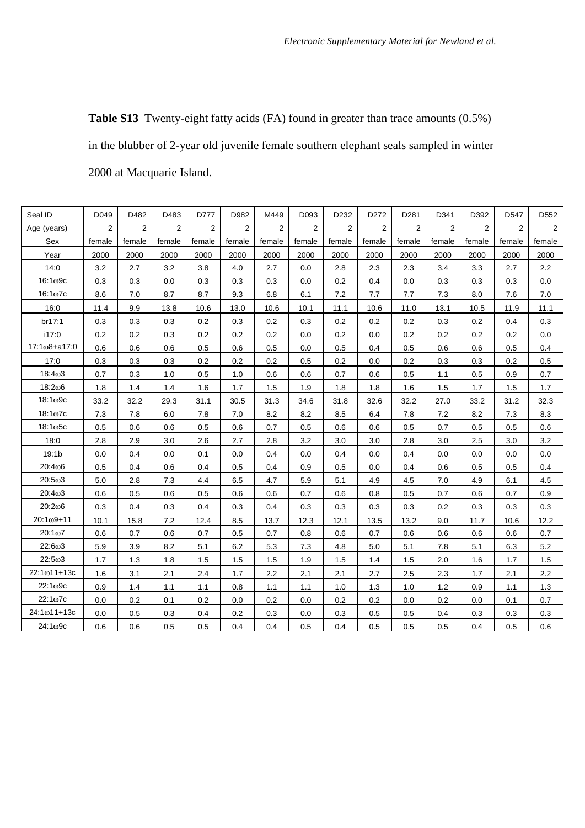**Table S13** Twenty-eight fatty acids (FA) found in greater than trace amounts (0.5%) in the blubber of 2-year old juvenile female southern elephant seals sampled in winter 2000 at Macquarie Island.

| Seal ID            | D049           | D482   | D483           | D777   | D982   | M449   | D093   | D232    | D272   | D281   | D341   | D392           | D547   | D552           |
|--------------------|----------------|--------|----------------|--------|--------|--------|--------|---------|--------|--------|--------|----------------|--------|----------------|
| Age (years)        | $\overline{2}$ | 2      | $\overline{2}$ | 2      | 2      | 2      | 2      | 2       | 2      | 2      | 2      | $\overline{2}$ | 2      | $\overline{2}$ |
| Sex                | female         | female | female         | female | female | female | female | female  | female | female | female | female         | female | female         |
| Year               | 2000           | 2000   | 2000           | 2000   | 2000   | 2000   | 2000   | 2000    | 2000   | 2000   | 2000   | 2000           | 2000   | 2000           |
| 14:0               | 3.2            | 2.7    | 3.2            | 3.8    | 4.0    | 2.7    | 0.0    | 2.8     | 2.3    | 2.3    | 3.4    | 3.3            | 2.7    | 2.2            |
| $16:1\omega$ 9c    | 0.3            | 0.3    | 0.0            | 0.3    | 0.3    | 0.3    | 0.0    | $0.2\,$ | 0.4    | 0.0    | 0.3    | 0.3            | 0.3    | 0.0            |
| $16:1\omega$ 7c    | 8.6            | 7.0    | 8.7            | 8.7    | 9.3    | 6.8    | 6.1    | $7.2\,$ | 7.7    | 7.7    | 7.3    | 8.0            | 7.6    | 7.0            |
| 16:0               | 11.4           | 9.9    | 13.8           | 10.6   | 13.0   | 10.6   | 10.1   | 11.1    | 10.6   | 11.0   | 13.1   | 10.5           | 11.9   | 11.1           |
| br17:1             | 0.3            | 0.3    | 0.3            | 0.2    | 0.3    | 0.2    | 0.3    | 0.2     | 0.2    | 0.2    | 0.3    | 0.2            | 0.4    | 0.3            |
| i17:0              | 0.2            | 0.2    | 0.3            | 0.2    | 0.2    | 0.2    | 0.0    | 0.2     | 0.0    | 0.2    | 0.2    | 0.2            | 0.2    | 0.0            |
| 17:1ω8+a17:0       | 0.6            | 0.6    | 0.6            | 0.5    | 0.6    | 0.5    | 0.0    | 0.5     | 0.4    | 0.5    | 0.6    | 0.6            | 0.5    | 0.4            |
| 17:0               | 0.3            | 0.3    | 0.3            | 0.2    | 0.2    | 0.2    | 0.5    | 0.2     | 0.0    | 0.2    | 0.3    | 0.3            | 0.2    | 0.5            |
| 18:403             | 0.7            | 0.3    | 1.0            | 0.5    | 1.0    | 0.6    | 0.6    | 0.7     | 0.6    | 0.5    | 1.1    | 0.5            | 0.9    | 0.7            |
| 18:206             | 1.8            | 1.4    | 1.4            | 1.6    | 1.7    | 1.5    | 1.9    | 1.8     | 1.8    | 1.6    | 1.5    | 1.7            | 1.5    | 1.7            |
| $18:1\omega$ 9c    | 33.2           | 32.2   | 29.3           | 31.1   | 30.5   | 31.3   | 34.6   | 31.8    | 32.6   | 32.2   | 27.0   | 33.2           | 31.2   | 32.3           |
| $18:1\omega$ 7c    | 7.3            | 7.8    | 6.0            | 7.8    | 7.0    | 8.2    | 8.2    | 8.5     | 6.4    | 7.8    | 7.2    | 8.2            | 7.3    | 8.3            |
| $18:1\omega$ 5c    | 0.5            | 0.6    | 0.6            | 0.5    | 0.6    | 0.7    | 0.5    | 0.6     | 0.6    | 0.5    | 0.7    | 0.5            | 0.5    | 0.6            |
| 18:0               | 2.8            | 2.9    | 3.0            | 2.6    | 2.7    | 2.8    | 3.2    | 3.0     | 3.0    | 2.8    | 3.0    | 2.5            | 3.0    | 3.2            |
| 19:1 <sub>b</sub>  | 0.0            | 0.4    | 0.0            | 0.1    | 0.0    | 0.4    | 0.0    | 0.4     | 0.0    | 0.4    | 0.0    | 0.0            | 0.0    | 0.0            |
| 20:406             | 0.5            | 0.4    | 0.6            | 0.4    | 0.5    | 0.4    | 0.9    | 0.5     | 0.0    | 0.4    | 0.6    | 0.5            | 0.5    | 0.4            |
| 20:5ω3             | 5.0            | 2.8    | 7.3            | 4.4    | 6.5    | 4.7    | 5.9    | 5.1     | 4.9    | 4.5    | 7.0    | 4.9            | 6.1    | 4.5            |
| 20:403             | 0.6            | 0.5    | 0.6            | 0.5    | 0.6    | 0.6    | 0.7    | 0.6     | 0.8    | 0.5    | 0.7    | 0.6            | 0.7    | 0.9            |
| 20:206             | 0.3            | 0.4    | 0.3            | 0.4    | 0.3    | 0.4    | 0.3    | 0.3     | 0.3    | 0.3    | 0.2    | 0.3            | 0.3    | 0.3            |
| $20:1\omega9 + 11$ | 10.1           | 15.8   | 7.2            | 12.4   | 8.5    | 13.7   | 12.3   | 12.1    | 13.5   | 13.2   | 9.0    | 11.7           | 10.6   | 12.2           |
| 20:1ω7             | 0.6            | 0.7    | 0.6            | 0.7    | 0.5    | 0.7    | 0.8    | 0.6     | 0.7    | 0.6    | 0.6    | 0.6            | 0.6    | 0.7            |
| 22:6ω3             | 5.9            | 3.9    | 8.2            | 5.1    | 6.2    | 5.3    | 7.3    | 4.8     | 5.0    | 5.1    | 7.8    | 5.1            | 6.3    | 5.2            |
| 22:503             | 1.7            | 1.3    | 1.8            | 1.5    | 1.5    | 1.5    | 1.9    | 1.5     | 1.4    | 1.5    | 2.0    | 1.6            | 1.7    | 1.5            |
| 22:1ω11+13c        | 1.6            | 3.1    | 2.1            | 2.4    | 1.7    | 2.2    | 2.1    | 2.1     | 2.7    | 2.5    | 2.3    | 1.7            | 2.1    | 2.2            |
| 22:1ω9c            | 0.9            | 1.4    | 1.1            | 1.1    | 0.8    | 1.1    | 1.1    | 1.0     | 1.3    | 1.0    | 1.2    | 0.9            | 1.1    | 1.3            |
| 22:1ω7c            | 0.0            | 0.2    | 0.1            | 0.2    | 0.0    | 0.2    | 0.0    | 0.2     | 0.2    | 0.0    | 0.2    | 0.0            | 0.1    | 0.7            |
| 24:1ω11+13c        | 0.0            | 0.5    | 0.3            | 0.4    | 0.2    | 0.3    | 0.0    | 0.3     | 0.5    | 0.5    | 0.4    | 0.3            | 0.3    | 0.3            |
| 24:1ω9с            | 0.6            | 0.6    | 0.5            | 0.5    | 0.4    | 0.4    | 0.5    | 0.4     | 0.5    | 0.5    | 0.5    | 0.4            | 0.5    | 0.6            |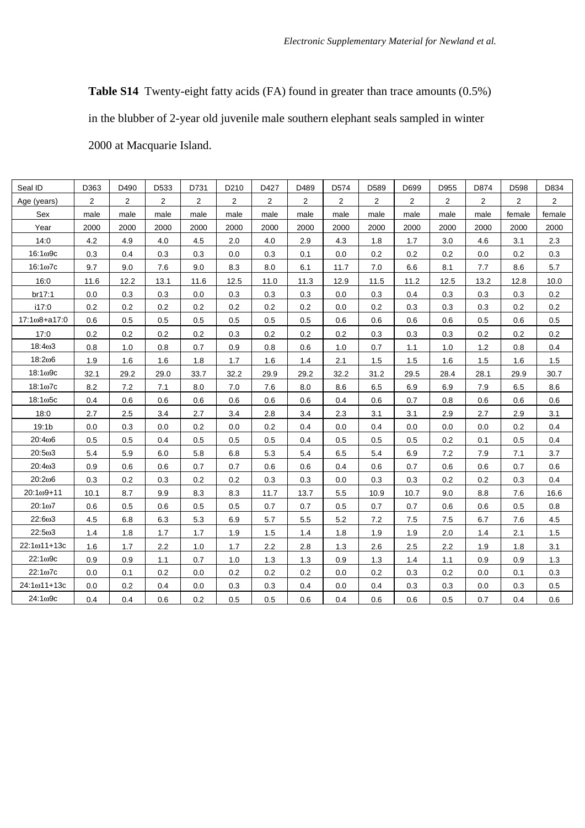**Table S14** Twenty-eight fatty acids (FA) found in greater than trace amounts (0.5%)

in the blubber of 2-year old juvenile male southern elephant seals sampled in winter

2000 at Macquarie Island.

| Seal ID               | D363           | D490 | D533 | D731           | D210 | D427 | D489           | D574 | D589 | D699 | D955 | D874 | D598   | D834                  |
|-----------------------|----------------|------|------|----------------|------|------|----------------|------|------|------|------|------|--------|-----------------------|
| Age (years)           | $\overline{2}$ | 2    | 2    | $\overline{2}$ | 2    | 2    | $\overline{2}$ | 2    | 2    | 2    | 2    | 2    | 2      | $\mathbf{2}^{\prime}$ |
| Sex                   | male           | male | male | male           | male | male | male           | male | male | male | male | male | female | female                |
| Year                  | 2000           | 2000 | 2000 | 2000           | 2000 | 2000 | 2000           | 2000 | 2000 | 2000 | 2000 | 2000 | 2000   | 2000                  |
| 14:0                  | 4.2            | 4.9  | 4.0  | 4.5            | 2.0  | 4.0  | 2.9            | 4.3  | 1.8  | 1.7  | 3.0  | 4.6  | 3.1    | 2.3                   |
| 16:109c               | 0.3            | 0.4  | 0.3  | 0.3            | 0.0  | 0.3  | 0.1            | 0.0  | 0.2  | 0.2  | 0.2  | 0.0  | 0.2    | 0.3                   |
| $16:1\omega$ 7c       | 9.7            | 9.0  | 7.6  | 9.0            | 8.3  | 8.0  | 6.1            | 11.7 | 7.0  | 6.6  | 8.1  | 7.7  | 8.6    | 5.7                   |
| 16:0                  | 11.6           | 12.2 | 13.1 | 11.6           | 12.5 | 11.0 | 11.3           | 12.9 | 11.5 | 11.2 | 12.5 | 13.2 | 12.8   | 10.0                  |
| br17:1                | 0.0            | 0.3  | 0.3  | 0.0            | 0.3  | 0.3  | 0.3            | 0.0  | 0.3  | 0.4  | 0.3  | 0.3  | 0.3    | 0.2                   |
| i17:0                 | 0.2            | 0.2  | 0.2  | 0.2            | 0.2  | 0.2  | 0.2            | 0.0  | 0.2  | 0.3  | 0.3  | 0.3  | 0.2    | 0.2                   |
| $17:1\omega8 + a17:0$ | 0.6            | 0.5  | 0.5  | 0.5            | 0.5  | 0.5  | 0.5            | 0.6  | 0.6  | 0.6  | 0.6  | 0.5  | 0.6    | 0.5                   |
| 17:0                  | 0.2            | 0.2  | 0.2  | 0.2            | 0.3  | 0.2  | 0.2            | 0.2  | 0.3  | 0.3  | 0.3  | 0.2  | 0.2    | 0.2                   |
| 18:4ω3                | 0.8            | 1.0  | 0.8  | 0.7            | 0.9  | 0.8  | 0.6            | 1.0  | 0.7  | 1.1  | 1.0  | 1.2  | 0.8    | 0.4                   |
| 18:206                | 1.9            | 1.6  | 1.6  | 1.8            | 1.7  | 1.6  | 1.4            | 2.1  | 1.5  | 1.5  | 1.6  | 1.5  | 1.6    | 1.5                   |
| $18:1\omega$ 9c       | 32.1           | 29.2 | 29.0 | 33.7           | 32.2 | 29.9 | 29.2           | 32.2 | 31.2 | 29.5 | 28.4 | 28.1 | 29.9   | 30.7                  |
| $18:1\omega$ 7c       | 8.2            | 7.2  | 7.1  | 8.0            | 7.0  | 7.6  | 8.0            | 8.6  | 6.5  | 6.9  | 6.9  | 7.9  | 6.5    | 8.6                   |
| $18:1\omega$ 5c       | 0.4            | 0.6  | 0.6  | 0.6            | 0.6  | 0.6  | 0.6            | 0.4  | 0.6  | 0.7  | 0.8  | 0.6  | 0.6    | 0.6                   |
| 18:0                  | 2.7            | 2.5  | 3.4  | 2.7            | 3.4  | 2.8  | 3.4            | 2.3  | 3.1  | 3.1  | 2.9  | 2.7  | 2.9    | 3.1                   |
| 19:1b                 | 0.0            | 0.3  | 0.0  | 0.2            | 0.0  | 0.2  | 0.4            | 0.0  | 0.4  | 0.0  | 0.0  | 0.0  | 0.2    | 0.4                   |
| 20:406                | 0.5            | 0.5  | 0.4  | 0.5            | 0.5  | 0.5  | 0.4            | 0.5  | 0.5  | 0.5  | 0.2  | 0.1  | 0.5    | 0.4                   |
| 20:5ω3                | 5.4            | 5.9  | 6.0  | 5.8            | 6.8  | 5.3  | 5.4            | 6.5  | 5.4  | 6.9  | 7.2  | 7.9  | 7.1    | 3.7                   |
| 20:4ω3                | 0.9            | 0.6  | 0.6  | 0.7            | 0.7  | 0.6  | 0.6            | 0.4  | 0.6  | 0.7  | 0.6  | 0.6  | 0.7    | 0.6                   |
| 20:206                | 0.3            | 0.2  | 0.3  | 0.2            | 0.2  | 0.3  | 0.3            | 0.0  | 0.3  | 0.3  | 0.2  | 0.2  | 0.3    | 0.4                   |
| $20:1\omega9 + 11$    | 10.1           | 8.7  | 9.9  | 8.3            | 8.3  | 11.7 | 13.7           | 5.5  | 10.9 | 10.7 | 9.0  | 8.8  | 7.6    | 16.6                  |
| $20:1\omega$ 7        | 0.6            | 0.5  | 0.6  | 0.5            | 0.5  | 0.7  | 0.7            | 0.5  | 0.7  | 0.7  | 0.6  | 0.6  | 0.5    | 0.8                   |
| 22:6ω3                | 4.5            | 6.8  | 6.3  | 5.3            | 6.9  | 5.7  | 5.5            | 5.2  | 7.2  | 7.5  | 7.5  | 6.7  | 7.6    | 4.5                   |
| 22:5ω3                | 1.4            | 1.8  | 1.7  | 1.7            | 1.9  | 1.5  | 1.4            | 1.8  | 1.9  | 1.9  | 2.0  | 1.4  | 2.1    | 1.5                   |
| 22:1ω11+13c           | 1.6            | 1.7  | 2.2  | 1.0            | 1.7  | 2.2  | 2.8            | 1.3  | 2.6  | 2.5  | 2.2  | 1.9  | 1.8    | 3.1                   |
| 22:1ω9c               | 0.9            | 0.9  | 1.1  | 0.7            | 1.0  | 1.3  | 1.3            | 0.9  | 1.3  | 1.4  | 1.1  | 0.9  | 0.9    | 1.3                   |
| 22:1ω7c               | 0.0            | 0.1  | 0.2  | 0.0            | 0.2  | 0.2  | 0.2            | 0.0  | 0.2  | 0.3  | 0.2  | 0.0  | 0.1    | 0.3                   |
| 24:1ω11+13c           | 0.0            | 0.2  | 0.4  | 0.0            | 0.3  | 0.3  | 0.4            | 0.0  | 0.4  | 0.3  | 0.3  | 0.0  | 0.3    | 0.5                   |
| 24:1ω9с               | 0.4            | 0.4  | 0.6  | 0.2            | 0.5  | 0.5  | 0.6            | 0.4  | 0.6  | 0.6  | 0.5  | 0.7  | 0.4    | 0.6                   |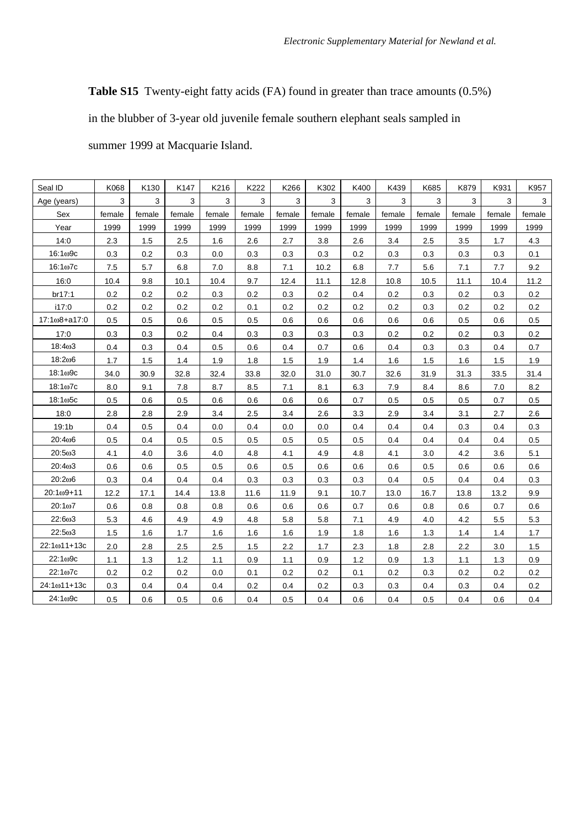**Table S15** Twenty-eight fatty acids (FA) found in greater than trace amounts (0.5%)

in the blubber of 3-year old juvenile female southern elephant seals sampled in

summer 1999 at Macquarie Island.

| Seal ID           | K068   | K130   | K147   | K216   | K222   | K266   | K302   | K400   | K439   | K685   | K879   | K931   | K957   |
|-------------------|--------|--------|--------|--------|--------|--------|--------|--------|--------|--------|--------|--------|--------|
| Age (years)       | 3      | 3      | 3      | 3      | 3      | 3      | 3      | 3      | 3      | 3      | 3      | 3      | 3      |
| Sex               | female | female | female | female | female | female | female | female | female | female | female | female | female |
| Year              | 1999   | 1999   | 1999   | 1999   | 1999   | 1999   | 1999   | 1999   | 1999   | 1999   | 1999   | 1999   | 1999   |
| 14:0              | 2.3    | 1.5    | 2.5    | 1.6    | 2.6    | 2.7    | 3.8    | 2.6    | 3.4    | 2.5    | 3.5    | 1.7    | 4.3    |
| $16:1\omega$ 9c   | 0.3    | 0.2    | 0.3    | 0.0    | 0.3    | 0.3    | 0.3    | 0.2    | 0.3    | 0.3    | 0.3    | 0.3    | 0.1    |
| $16:1\omega$ 7c   | 7.5    | 5.7    | 6.8    | 7.0    | 8.8    | 7.1    | 10.2   | 6.8    | 7.7    | 5.6    | 7.1    | 7.7    | 9.2    |
| 16:0              | 10.4   | 9.8    | 10.1   | 10.4   | 9.7    | 12.4   | 11.1   | 12.8   | 10.8   | 10.5   | 11.1   | 10.4   | 11.2   |
| br17:1            | 0.2    | 0.2    | 0.2    | 0.3    | 0.2    | 0.3    | 0.2    | 0.4    | 0.2    | 0.3    | 0.2    | 0.3    | 0.2    |
| i17:0             | 0.2    | 0.2    | 0.2    | 0.2    | 0.1    | 0.2    | 0.2    | 0.2    | 0.2    | 0.3    | 0.2    | 0.2    | 0.2    |
| 17:1ω8+a17:0      | 0.5    | 0.5    | 0.6    | 0.5    | 0.5    | 0.6    | 0.6    | 0.6    | 0.6    | 0.6    | 0.5    | 0.6    | 0.5    |
| 17:0              | 0.3    | 0.3    | 0.2    | 0.4    | 0.3    | 0.3    | 0.3    | 0.3    | 0.2    | 0.2    | 0.2    | 0.3    | 0.2    |
| 18:403            | 0.4    | 0.3    | 0.4    | 0.5    | 0.6    | 0.4    | 0.7    | 0.6    | 0.4    | 0.3    | 0.3    | 0.4    | 0.7    |
| 18:206            | 1.7    | 1.5    | 1.4    | 1.9    | 1.8    | 1.5    | 1.9    | 1.4    | 1.6    | 1.5    | 1.6    | 1.5    | 1.9    |
| $18:1\omega$ 9c   | 34.0   | 30.9   | 32.8   | 32.4   | 33.8   | 32.0   | 31.0   | 30.7   | 32.6   | 31.9   | 31.3   | 33.5   | 31.4   |
| 18:1ω7с           | 8.0    | 9.1    | 7.8    | 8.7    | 8.5    | 7.1    | 8.1    | 6.3    | 7.9    | 8.4    | 8.6    | 7.0    | 8.2    |
| $18:1\omega$ 5c   | 0.5    | 0.6    | 0.5    | 0.6    | 0.6    | 0.6    | 0.6    | 0.7    | 0.5    | 0.5    | 0.5    | 0.7    | 0.5    |
| 18:0              | 2.8    | 2.8    | 2.9    | 3.4    | 2.5    | 3.4    | 2.6    | 3.3    | 2.9    | 3.4    | 3.1    | 2.7    | 2.6    |
| 19:1 <sub>b</sub> | 0.4    | 0.5    | 0.4    | 0.0    | 0.4    | 0.0    | 0.0    | 0.4    | 0.4    | 0.4    | 0.3    | 0.4    | 0.3    |
| 20:406            | 0.5    | 0.4    | 0.5    | 0.5    | 0.5    | 0.5    | 0.5    | 0.5    | 0.4    | 0.4    | 0.4    | 0.4    | 0.5    |
| 20:5ω3            | 4.1    | 4.0    | 3.6    | 4.0    | 4.8    | 4.1    | 4.9    | 4.8    | 4.1    | 3.0    | 4.2    | 3.6    | 5.1    |
| 20:4ω3            | 0.6    | 0.6    | 0.5    | 0.5    | 0.6    | 0.5    | 0.6    | 0.6    | 0.6    | 0.5    | 0.6    | 0.6    | 0.6    |
| 20:206            | 0.3    | 0.4    | 0.4    | 0.4    | 0.3    | 0.3    | 0.3    | 0.3    | 0.4    | 0.5    | 0.4    | 0.4    | 0.3    |
| 20:1ω9+11         | 12.2   | 17.1   | 14.4   | 13.8   | 11.6   | 11.9   | 9.1    | 10.7   | 13.0   | 16.7   | 13.8   | 13.2   | 9.9    |
| 20:107            | 0.6    | 0.8    | 0.8    | 0.8    | 0.6    | 0.6    | 0.6    | 0.7    | 0.6    | 0.8    | 0.6    | 0.7    | 0.6    |
| 22:6ω3            | 5.3    | 4.6    | 4.9    | 4.9    | 4.8    | 5.8    | 5.8    | 7.1    | 4.9    | 4.0    | 4.2    | 5.5    | 5.3    |
| 22:5ω3            | 1.5    | 1.6    | 1.7    | 1.6    | 1.6    | 1.6    | 1.9    | 1.8    | 1.6    | 1.3    | 1.4    | 1.4    | 1.7    |
| 22:1ω11+13c       | 2.0    | 2.8    | 2.5    | 2.5    | 1.5    | 2.2    | 1.7    | 2.3    | 1.8    | 2.8    | 2.2    | 3.0    | 1.5    |
| 22:109c           | 1.1    | 1.3    | 1.2    | 1.1    | 0.9    | 1.1    | 0.9    | 1.2    | 0.9    | 1.3    | 1.1    | 1.3    | 0.9    |
| $22:1\omega$ 7c   | 0.2    | 0.2    | 0.2    | 0.0    | 0.1    | 0.2    | 0.2    | 0.1    | 0.2    | 0.3    | 0.2    | 0.2    | 0.2    |
| 24:1ω11+13c       | 0.3    | 0.4    | 0.4    | 0.4    | 0.2    | 0.4    | 0.2    | 0.3    | 0.3    | 0.4    | 0.3    | 0.4    | 0.2    |
| 24:1ω9с           | 0.5    | 0.6    | 0.5    | 0.6    | 0.4    | 0.5    | 0.4    | 0.6    | 0.4    | 0.5    | 0.4    | 0.6    | 0.4    |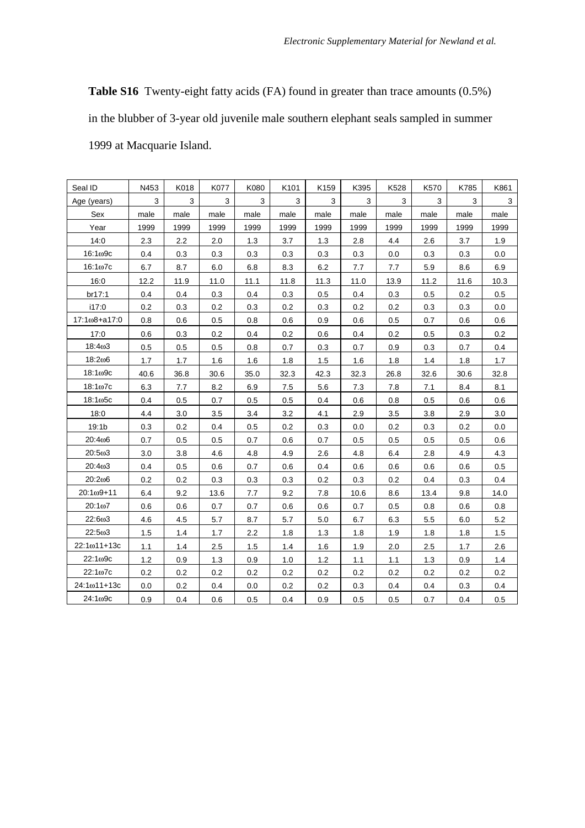**Table S16** Twenty-eight fatty acids (FA) found in greater than trace amounts (0.5%) in the blubber of 3-year old juvenile male southern elephant seals sampled in summer 1999 at Macquarie Island.

| Seal ID            | N453    | K018 | K077 | K080 | K101 | K159 | K395 | K528 | K570 | K785 | K861 |
|--------------------|---------|------|------|------|------|------|------|------|------|------|------|
| Age (years)        | 3       | 3    | 3    | 3    | 3    | 3    | 3    | 3    | 3    | 3    | 3    |
| Sex                | male    | male | male | male | male | male | male | male | male | male | male |
| Year               | 1999    | 1999 | 1999 | 1999 | 1999 | 1999 | 1999 | 1999 | 1999 | 1999 | 1999 |
| 14:0               | 2.3     | 2.2  | 2.0  | 1.3  | 3.7  | 1.3  | 2.8  | 4.4  | 2.6  | 3.7  | 1.9  |
| $16:1\omega$ 9c    | 0.4     | 0.3  | 0.3  | 0.3  | 0.3  | 0.3  | 0.3  | 0.0  | 0.3  | 0.3  | 0.0  |
| $16:1\omega$ 7c    | 6.7     | 8.7  | 6.0  | 6.8  | 8.3  | 6.2  | 7.7  | 7.7  | 5.9  | 8.6  | 6.9  |
| 16:0               | 12.2    | 11.9 | 11.0 | 11.1 | 11.8 | 11.3 | 11.0 | 13.9 | 11.2 | 11.6 | 10.3 |
| br17:1             | 0.4     | 0.4  | 0.3  | 0.4  | 0.3  | 0.5  | 0.4  | 0.3  | 0.5  | 0.2  | 0.5  |
| i17:0              | 0.2     | 0.3  | 0.2  | 0.3  | 0.2  | 0.3  | 0.2  | 0.2  | 0.3  | 0.3  | 0.0  |
| 17:1ω8+a17:0       | 0.8     | 0.6  | 0.5  | 0.8  | 0.6  | 0.9  | 0.6  | 0.5  | 0.7  | 0.6  | 0.6  |
| 17:0               | 0.6     | 0.3  | 0.2  | 0.4  | 0.2  | 0.6  | 0.4  | 0.2  | 0.5  | 0.3  | 0.2  |
| 18:403             | 0.5     | 0.5  | 0.5  | 0.8  | 0.7  | 0.3  | 0.7  | 0.9  | 0.3  | 0.7  | 0.4  |
| 18:206             | 1.7     | 1.7  | 1.6  | 1.6  | 1.8  | 1.5  | 1.6  | 1.8  | 1.4  | 1.8  | 1.7  |
| $18:1\omega$ 9c    | 40.6    | 36.8 | 30.6 | 35.0 | 32.3 | 42.3 | 32.3 | 26.8 | 32.6 | 30.6 | 32.8 |
| $18:1\omega$ 7c    | 6.3     | 7.7  | 8.2  | 6.9  | 7.5  | 5.6  | 7.3  | 7.8  | 7.1  | 8.4  | 8.1  |
| $18:1\omega$ 5c    | 0.4     | 0.5  | 0.7  | 0.5  | 0.5  | 0.4  | 0.6  | 0.8  | 0.5  | 0.6  | 0.6  |
| 18:0               | 4.4     | 3.0  | 3.5  | 3.4  | 3.2  | 4.1  | 2.9  | 3.5  | 3.8  | 2.9  | 3.0  |
| 19:1 <sub>b</sub>  | 0.3     | 0.2  | 0.4  | 0.5  | 0.2  | 0.3  | 0.0  | 0.2  | 0.3  | 0.2  | 0.0  |
| 20:406             | 0.7     | 0.5  | 0.5  | 0.7  | 0.6  | 0.7  | 0.5  | 0.5  | 0.5  | 0.5  | 0.6  |
| 20:503             | 3.0     | 3.8  | 4.6  | 4.8  | 4.9  | 2.6  | 4.8  | 6.4  | 2.8  | 4.9  | 4.3  |
| 20:403             | 0.4     | 0.5  | 0.6  | 0.7  | 0.6  | 0.4  | 0.6  | 0.6  | 0.6  | 0.6  | 0.5  |
| 20:206             | $0.2\,$ | 0.2  | 0.3  | 0.3  | 0.3  | 0.2  | 0.3  | 0.2  | 0.4  | 0.3  | 0.4  |
| $20:1\omega9 + 11$ | 6.4     | 9.2  | 13.6 | 7.7  | 9.2  | 7.8  | 10.6 | 8.6  | 13.4 | 9.8  | 14.0 |
| $20:1\omega$       | 0.6     | 0.6  | 0.7  | 0.7  | 0.6  | 0.6  | 0.7  | 0.5  | 0.8  | 0.6  | 0.8  |
| 22:6ω3             | 4.6     | 4.5  | 5.7  | 8.7  | 5.7  | 5.0  | 6.7  | 6.3  | 5.5  | 6.0  | 5.2  |
| 22:5ω3             | 1.5     | 1.4  | 1.7  | 2.2  | 1.8  | 1.3  | 1.8  | 1.9  | 1.8  | 1.8  | 1.5  |
| 22:1ω11+13c        | 1.1     | 1.4  | 2.5  | 1.5  | 1.4  | 1.6  | 1.9  | 2.0  | 2.5  | 1.7  | 2.6  |
| 22:1ω9c            | 1.2     | 0.9  | 1.3  | 0.9  | 1.0  | 1.2  | 1.1  | 1.1  | 1.3  | 0.9  | 1.4  |
| 22:1ω7c            | 0.2     | 0.2  | 0.2  | 0.2  | 0.2  | 0.2  | 0.2  | 0.2  | 0.2  | 0.2  | 0.2  |
| 24:1ω11+13c        | 0.0     | 0.2  | 0.4  | 0.0  | 0.2  | 0.2  | 0.3  | 0.4  | 0.4  | 0.3  | 0.4  |
| 24:1ω9c            | 0.9     | 0.4  | 0.6  | 0.5  | 0.4  | 0.9  | 0.5  | 0.5  | 0.7  | 0.4  | 0.5  |